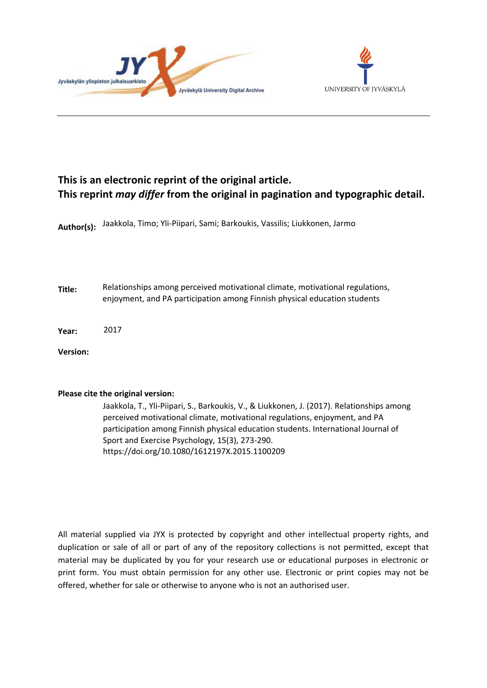



# **This is an electronic reprint of the original article. This reprint** *may differ* **from the original in pagination and typographic detail.**

**Author(s):**  Jaakkola, Timo; Yli-Piipari, Sami; Barkoukis, Vassilis; Liukkonen, Jarmo

**Title:** Relationships among perceived motivational climate, motivational regulations, enjoyment, and PA participation among Finnish physical education students

**Year:**  2017

**Version:**

# **Please cite the original version:**

Jaakkola, T., Yli-Piipari, S., Barkoukis, V., & Liukkonen, J. (2017). Relationships among perceived motivational climate, motivational regulations, enjoyment, and PA participation among Finnish physical education students. International Journal of Sport and Exercise Psychology, 15(3), 273-290. https://doi.org/10.1080/1612197X.2015.1100209

All material supplied via JYX is protected by copyright and other intellectual property rights, and duplication or sale of all or part of any of the repository collections is not permitted, except that material may be duplicated by you for your research use or educational purposes in electronic or print form. You must obtain permission for any other use. Electronic or print copies may not be offered, whether for sale or otherwise to anyone who is not an authorised user.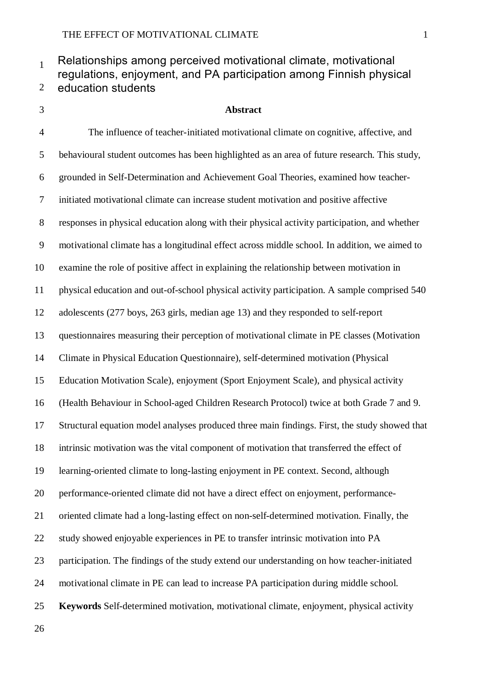#### Relationships among perceived motivational climate, motivational regulations, enjoyment, and PA participation among Finnish physical education students

# **Abstract**

 The influence of teacher-initiated motivational climate on cognitive, affective, and behavioural student outcomes has been highlighted as an area of future research. This study, grounded in Self-Determination and Achievement Goal Theories, examined how teacher- initiated motivational climate can increase student motivation and positive affective responses in physical education along with their physical activity participation, and whether motivational climate has a longitudinal effect across middle school. In addition, we aimed to examine the role of positive affect in explaining the relationship between motivation in physical education and out-of-school physical activity participation. A sample comprised 540 adolescents (277 boys, 263 girls, median age 13) and they responded to self-report questionnaires measuring their perception of motivational climate in PE classes (Motivation Climate in Physical Education Questionnaire), self-determined motivation (Physical Education Motivation Scale), enjoyment (Sport Enjoyment Scale), and physical activity (Health Behaviour in School-aged Children Research Protocol) twice at both Grade 7 and 9. Structural equation model analyses produced three main findings. First, the study showed that intrinsic motivation was the vital component of motivation that transferred the effect of learning-oriented climate to long-lasting enjoyment in PE context. Second, although performance-oriented climate did not have a direct effect on enjoyment, performance- oriented climate had a long-lasting effect on non-self-determined motivation. Finally, the study showed enjoyable experiences in PE to transfer intrinsic motivation into PA participation. The findings of the study extend our understanding on how teacher-initiated motivational climate in PE can lead to increase PA participation during middle school. **Keywords** Self-determined motivation, motivational climate, enjoyment, physical activity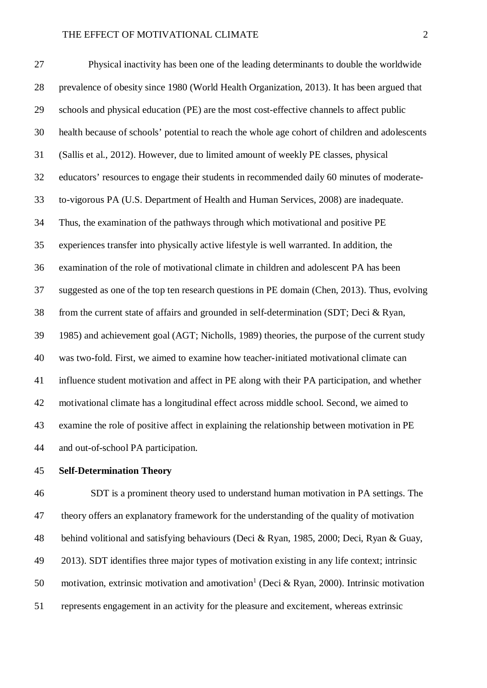Physical inactivity has been one of the leading determinants to double the worldwide prevalence of obesity since 1980 (World Health Organization, 2013). It has been argued that schools and physical education (PE) are the most cost-effective channels to affect public health because of schools' potential to reach the whole age cohort of children and adolescents (Sallis et al., 2012). However, due to limited amount of weekly PE classes, physical educators' resources to engage their students in recommended daily 60 minutes of moderate- to-vigorous PA (U.S. Department of Health and Human Services, 2008) are inadequate. Thus, the examination of the pathways through which motivational and positive PE experiences transfer into physically active lifestyle is well warranted. In addition, the examination of the role of motivational climate in children and adolescent PA has been suggested as one of the top ten research questions in PE domain (Chen, 2013). Thus, evolving from the current state of affairs and grounded in self-determination (SDT; Deci & Ryan, 1985) and achievement goal (AGT; Nicholls, 1989) theories, the purpose of the current study was two-fold. First, we aimed to examine how teacher-initiated motivational climate can influence student motivation and affect in PE along with their PA participation, and whether motivational climate has a longitudinal effect across middle school. Second, we aimed to examine the role of positive affect in explaining the relationship between motivation in PE and out-of-school PA participation.

# **Self-Determination Theory**

 SDT is a prominent theory used to understand human motivation in PA settings. The theory offers an explanatory framework for the understanding of the quality of motivation behind volitional and satisfying behaviours (Deci & Ryan, 1985, 2000; Deci, Ryan & Guay, 2013). SDT identifies three major types of motivation existing in any life context; intrinsic 50 motivation, extrinsic motivation and amotivation<sup>1</sup> (Deci & Ryan, 2000). Intrinsic motivation represents engagement in an activity for the pleasure and excitement, whereas extrinsic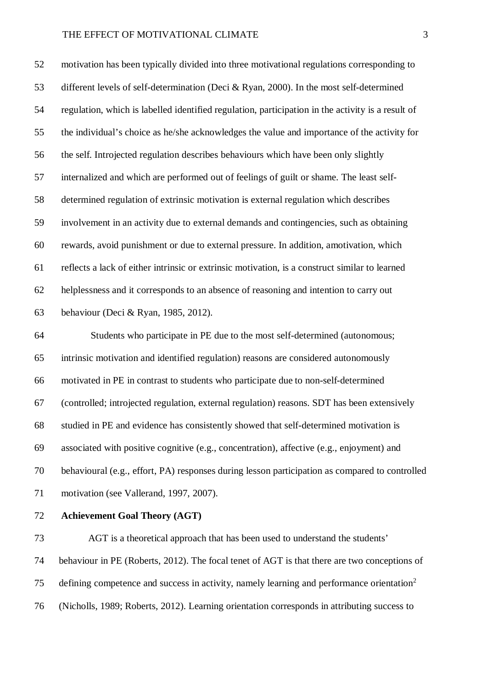motivation has been typically divided into three motivational regulations corresponding to different levels of self-determination (Deci & Ryan, 2000). In the most self-determined regulation, which is labelled identified regulation, participation in the activity is a result of the individual's choice as he/she acknowledges the value and importance of the activity for the self. Introjected regulation describes behaviours which have been only slightly internalized and which are performed out of feelings of guilt or shame. The least self- determined regulation of extrinsic motivation is external regulation which describes involvement in an activity due to external demands and contingencies, such as obtaining rewards, avoid punishment or due to external pressure. In addition, amotivation, which reflects a lack of either intrinsic or extrinsic motivation, is a construct similar to learned helplessness and it corresponds to an absence of reasoning and intention to carry out behaviour (Deci & Ryan, 1985, 2012).

 Students who participate in PE due to the most self-determined (autonomous; intrinsic motivation and identified regulation) reasons are considered autonomously motivated in PE in contrast to students who participate due to non-self-determined (controlled; introjected regulation, external regulation) reasons. SDT has been extensively studied in PE and evidence has consistently showed that self-determined motivation is associated with positive cognitive (e.g., concentration), affective (e.g., enjoyment) and behavioural (e.g., effort, PA) responses during lesson participation as compared to controlled 71 motivation (see Vallerand, 1997, 2007).

# **Achievement Goal Theory (AGT)**

 AGT is a theoretical approach that has been used to understand the students' behaviour in PE (Roberts, 2012). The focal tenet of AGT is that there are two conceptions of defining competence and success in activity, namely learning and performance orientation<sup>2</sup> (Nicholls, 1989; Roberts, 2012). Learning orientation corresponds in attributing success to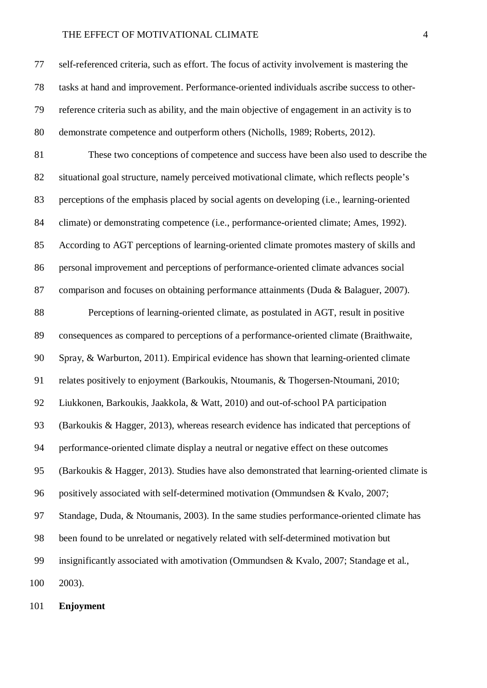self-referenced criteria, such as effort. The focus of activity involvement is mastering the tasks at hand and improvement. Performance-oriented individuals ascribe success to other- reference criteria such as ability, and the main objective of engagement in an activity is to demonstrate competence and outperform others (Nicholls, 1989; Roberts, 2012).

 These two conceptions of competence and success have been also used to describe the situational goal structure, namely perceived motivational climate, which reflects people's perceptions of the emphasis placed by social agents on developing (i.e., learning-oriented climate) or demonstrating competence (i.e., performance-oriented climate; Ames, 1992). According to AGT perceptions of learning-oriented climate promotes mastery of skills and personal improvement and perceptions of performance-oriented climate advances social comparison and focuses on obtaining performance attainments (Duda & Balaguer, 2007).

 Perceptions of learning-oriented climate, as postulated in AGT, result in positive consequences as compared to perceptions of a performance-oriented climate (Braithwaite, Spray, & Warburton, 2011). Empirical evidence has shown that learning-oriented climate relates positively to enjoyment (Barkoukis, Ntoumanis, & Thogersen-Ntoumani, 2010; Liukkonen, Barkoukis, Jaakkola, & Watt, 2010) and out-of-school PA participation (Barkoukis & Hagger, 2013), whereas research evidence has indicated that perceptions of performance-oriented climate display a neutral or negative effect on these outcomes (Barkoukis & Hagger, 2013). Studies have also demonstrated that learning-oriented climate is positively associated with self-determined motivation (Ommundsen & Kvalo, 2007; Standage, Duda, & Ntoumanis, 2003). In the same studies performance-oriented climate has been found to be unrelated or negatively related with self-determined motivation but insignificantly associated with amotivation (Ommundsen & Kvalo, 2007; Standage et al., 2003).

**Enjoyment**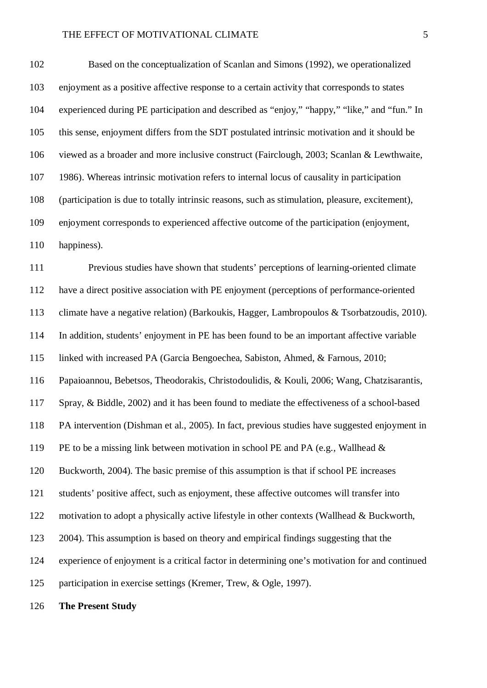Based on the conceptualization of Scanlan and Simons (1992), we operationalized enjoyment as a positive affective response to a certain activity that corresponds to states experienced during PE participation and described as "enjoy," "happy," "like," and "fun." In this sense, enjoyment differs from the SDT postulated intrinsic motivation and it should be viewed as a broader and more inclusive construct (Fairclough, 2003; Scanlan & Lewthwaite, 1986). Whereas intrinsic motivation refers to internal locus of causality in participation (participation is due to totally intrinsic reasons, such as stimulation, pleasure, excitement), enjoyment corresponds to experienced affective outcome of the participation (enjoyment, 110 happiness).

 Previous studies have shown that students' perceptions of learning-oriented climate have a direct positive association with PE enjoyment (perceptions of performance-oriented climate have a negative relation) (Barkoukis, Hagger, Lambropoulos & Tsorbatzoudis, 2010). In addition, students' enjoyment in PE has been found to be an important affective variable linked with increased PA (Garcia Bengoechea, Sabiston, Ahmed, & Farnous, 2010; Papaioannou, Bebetsos, Theodorakis, Christodoulidis, & Kouli, 2006; Wang, Chatzisarantis, Spray, & Biddle, 2002) and it has been found to mediate the effectiveness of a school-based PA intervention (Dishman et al., 2005). In fact, previous studies have suggested enjoyment in PE to be a missing link between motivation in school PE and PA (e.g., Wallhead & Buckworth, 2004). The basic premise of this assumption is that if school PE increases students' positive affect, such as enjoyment, these affective outcomes will transfer into motivation to adopt a physically active lifestyle in other contexts (Wallhead & Buckworth, 2004). This assumption is based on theory and empirical findings suggesting that the experience of enjoyment is a critical factor in determining one's motivation for and continued participation in exercise settings (Kremer, Trew, & Ogle, 1997).

**The Present Study**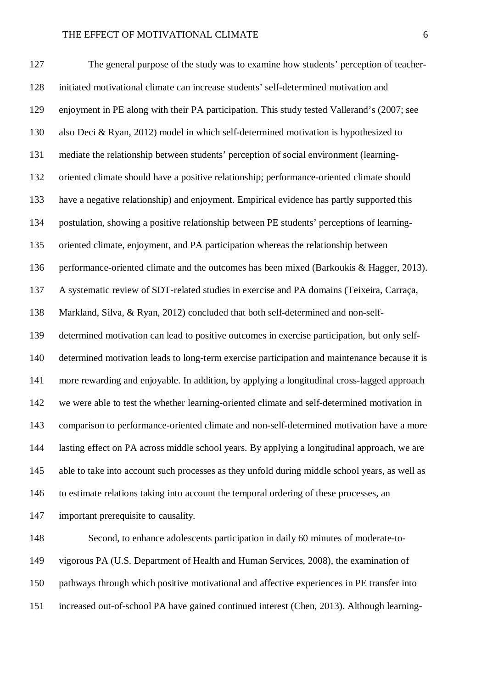The general purpose of the study was to examine how students' perception of teacher- initiated motivational climate can increase students' self-determined motivation and enjoyment in PE along with their PA participation. This study tested Vallerand's (2007; see also Deci & Ryan, 2012) model in which self-determined motivation is hypothesized to mediate the relationship between students' perception of social environment (learning- oriented climate should have a positive relationship; performance-oriented climate should have a negative relationship) and enjoyment. Empirical evidence has partly supported this postulation, showing a positive relationship between PE students' perceptions of learning- oriented climate, enjoyment, and PA participation whereas the relationship between performance-oriented climate and the outcomes has been mixed (Barkoukis & Hagger, 2013). A systematic review of SDT-related studies in exercise and PA domains (Teixeira, Carraça, Markland, Silva, & Ryan, 2012) concluded that both self-determined and non-self- determined motivation can lead to positive outcomes in exercise participation, but only self- determined motivation leads to long-term exercise participation and maintenance because it is more rewarding and enjoyable. In addition, by applying a longitudinal cross-lagged approach we were able to test the whether learning-oriented climate and self-determined motivation in comparison to performance-oriented climate and non-self-determined motivation have a more lasting effect on PA across middle school years. By applying a longitudinal approach, we are able to take into account such processes as they unfold during middle school years, as well as to estimate relations taking into account the temporal ordering of these processes, an important prerequisite to causality.

 Second, to enhance adolescents participation in daily 60 minutes of moderate-to- vigorous PA (U.S. Department of Health and Human Services, 2008), the examination of pathways through which positive motivational and affective experiences in PE transfer into increased out-of-school PA have gained continued interest (Chen, 2013). Although learning-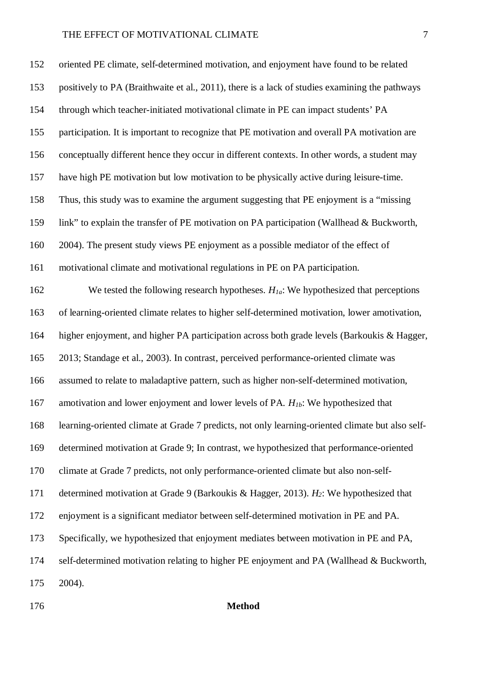oriented PE climate, self-determined motivation, and enjoyment have found to be related positively to PA (Braithwaite et al., 2011), there is a lack of studies examining the pathways through which teacher-initiated motivational climate in PE can impact students' PA participation. It is important to recognize that PE motivation and overall PA motivation are conceptually different hence they occur in different contexts. In other words, a student may have high PE motivation but low motivation to be physically active during leisure-time. Thus, this study was to examine the argument suggesting that PE enjoyment is a "missing link" to explain the transfer of PE motivation on PA participation (Wallhead & Buckworth, 2004). The present study views PE enjoyment as a possible mediator of the effect of motivational climate and motivational regulations in PE on PA participation. We tested the following research hypotheses. *H1a*: We hypothesized that perceptions of learning-oriented climate relates to higher self-determined motivation, lower amotivation, higher enjoyment, and higher PA participation across both grade levels (Barkoukis & Hagger, 2013; Standage et al., 2003). In contrast, perceived performance-oriented climate was assumed to relate to maladaptive pattern, such as higher non-self-determined motivation, amotivation and lower enjoyment and lower levels of PA. *H1b*: We hypothesized that learning-oriented climate at Grade 7 predicts, not only learning-oriented climate but also self- determined motivation at Grade 9; In contrast, we hypothesized that performance-oriented climate at Grade 7 predicts, not only performance-oriented climate but also non-self- determined motivation at Grade 9 (Barkoukis & Hagger, 2013). *H2*: We hypothesized that enjoyment is a significant mediator between self-determined motivation in PE and PA. Specifically, we hypothesized that enjoyment mediates between motivation in PE and PA, self-determined motivation relating to higher PE enjoyment and PA (Wallhead & Buckworth, 2004).

# **Method**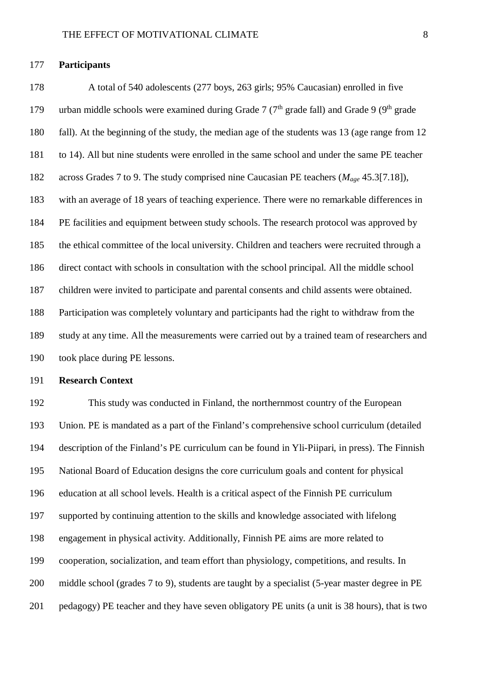### **Participants**

 A total of 540 adolescents (277 boys, 263 girls; 95% Caucasian) enrolled in five 179 urban middle schools were examined during Grade 7 ( $7<sup>th</sup>$  grade fall) and Grade 9 ( $9<sup>th</sup>$  grade fall). At the beginning of the study, the median age of the students was 13 (age range from 12 to 14). All but nine students were enrolled in the same school and under the same PE teacher across Grades 7 to 9. The study comprised nine Caucasian PE teachers (*Mage* 45.3[7.18]), with an average of 18 years of teaching experience. There were no remarkable differences in PE facilities and equipment between study schools. The research protocol was approved by the ethical committee of the local university. Children and teachers were recruited through a direct contact with schools in consultation with the school principal. All the middle school children were invited to participate and parental consents and child assents were obtained. Participation was completely voluntary and participants had the right to withdraw from the study at any time. All the measurements were carried out by a trained team of researchers and took place during PE lessons.

# **Research Context**

 This study was conducted in Finland, the northernmost country of the European Union. PE is mandated as a part of the Finland's comprehensive school curriculum (detailed description of the Finland's PE curriculum can be found in Yli-Piipari, in press). The Finnish National Board of Education designs the core curriculum goals and content for physical education at all school levels. Health is a critical aspect of the Finnish PE curriculum supported by continuing attention to the skills and knowledge associated with lifelong engagement in physical activity. Additionally, Finnish PE aims are more related to cooperation, socialization, and team effort than physiology, competitions, and results. In middle school (grades 7 to 9), students are taught by a specialist (5-year master degree in PE pedagogy) PE teacher and they have seven obligatory PE units (a unit is 38 hours), that is two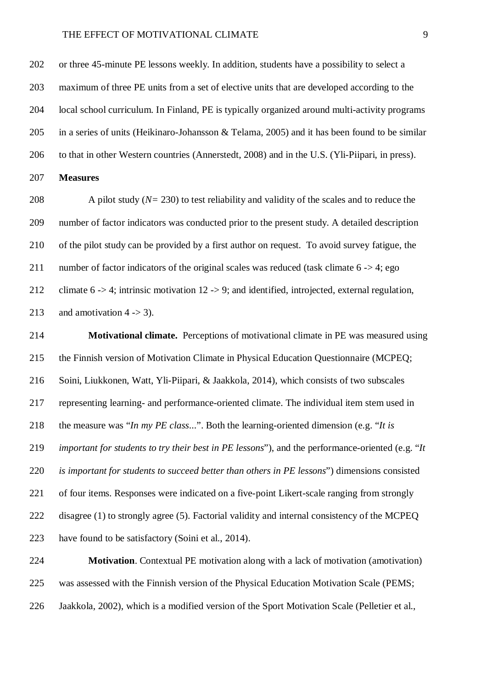or three 45-minute PE lessons weekly. In addition, students have a possibility to select a maximum of three PE units from a set of elective units that are developed according to the local school curriculum. In Finland, PE is typically organized around multi-activity programs in a series of units (Heikinaro-Johansson & Telama, 2005) and it has been found to be similar to that in other Western countries (Annerstedt, 2008) and in the U.S. (Yli-Piipari, in press).

# **Measures**

 A pilot study (*N=* 230) to test reliability and validity of the scales and to reduce the number of factor indicators was conducted prior to the present study. A detailed description of the pilot study can be provided by a first author on request. To avoid survey fatigue, the 211 number of factor indicators of the original scales was reduced (task climate  $6 \rightarrow 4$ ; ego climate 6 -> 4; intrinsic motivation 12 -> 9; and identified, introjected, external regulation, 213 and amotivation  $4 \rightarrow 3$ ).

 **Motivational climate.** Perceptions of motivational climate in PE was measured using the Finnish version of Motivation Climate in Physical Education Questionnaire (MCPEQ; Soini, Liukkonen, Watt, Yli-Piipari, & Jaakkola, 2014), which consists of two subscales representing learning- and performance-oriented climate. The individual item stem used in the measure was "*In my PE class*...". Both the learning-oriented dimension (e.g. "*It is important for students to try their best in PE lessons*"), and the performance-oriented (e.g. "*It is important for students to succeed better than others in PE lessons*") dimensions consisted of four items. Responses were indicated on a five-point Likert-scale ranging from strongly disagree (1) to strongly agree (5). Factorial validity and internal consistency of the MCPEQ have found to be satisfactory (Soini et al., 2014).

 **Motivation**. Contextual PE motivation along with a lack of motivation (amotivation) was assessed with the Finnish version of the Physical Education Motivation Scale (PEMS; Jaakkola, 2002), which is a modified version of the Sport Motivation Scale (Pelletier et al.,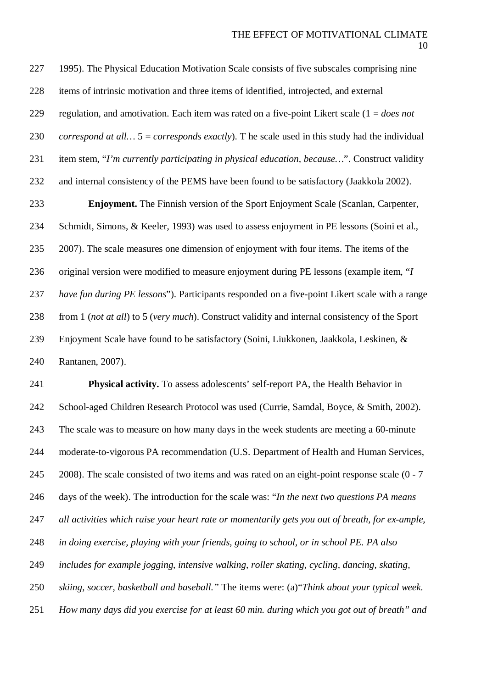1995). The Physical Education Motivation Scale consists of five subscales comprising nine items of intrinsic motivation and three items of identified, introjected, and external regulation, and amotivation. Each item was rated on a five-point Likert scale (1 = *does not correspond at all…* 5 = *corresponds exactly*). T he scale used in this study had the individual item stem, "*I'm currently participating in physical education, because…*". Construct validity and internal consistency of the PEMS have been found to be satisfactory (Jaakkola 2002). **Enjoyment.** The Finnish version of the Sport Enjoyment Scale (Scanlan, Carpenter, Schmidt, Simons, & Keeler, 1993) was used to assess enjoyment in PE lessons (Soini et al., 2007). The scale measures one dimension of enjoyment with four items. The items of the original version were modified to measure enjoyment during PE lessons (example item, "*I have fun during PE lessons*"). Participants responded on a five-point Likert scale with a range from 1 (*not at all*) to 5 (*very much*). Construct validity and internal consistency of the Sport Enjoyment Scale have found to be satisfactory (Soini, Liukkonen, Jaakkola, Leskinen, & Rantanen, 2007).

 **Physical activity.** To assess adolescents' self-report PA, the Health Behavior in School-aged Children Research Protocol was used (Currie, Samdal, Boyce, & Smith, 2002). The scale was to measure on how many days in the week students are meeting a 60-minute moderate-to-vigorous PA recommendation (U.S. Department of Health and Human Services, 245 2008). The scale consisted of two items and was rated on an eight-point response scale (0 - 7 days of the week). The introduction for the scale was: "*In the next two questions PA means all activities which raise your heart rate or momentarily gets you out of breath, for ex-ample, in doing exercise, playing with your friends, going to school, or in school PE. PA also includes for example jogging, intensive walking, roller skating, cycling, dancing, skating, skiing, soccer, basketball and baseball."* The items were: (a)"*Think about your typical week. How many days did you exercise for at least 60 min. during which you got out of breath" and*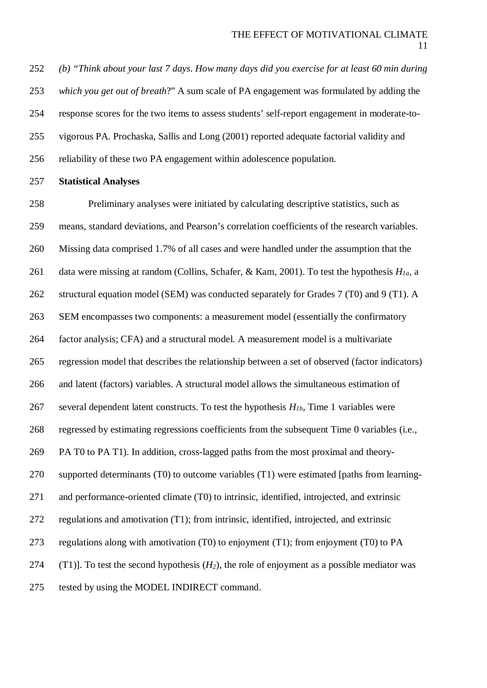*(b) "Think about your last 7 days. How many days did you exercise for at least 60 min during which you get out of breath*?" A sum scale of PA engagement was formulated by adding the response scores for the two items to assess students' self-report engagement in moderate-to- vigorous PA. Prochaska, Sallis and Long (2001) reported adequate factorial validity and reliability of these two PA engagement within adolescence population.

#### **Statistical Analyses**

 Preliminary analyses were initiated by calculating descriptive statistics, such as means, standard deviations, and Pearson's correlation coefficients of the research variables. Missing data comprised 1.7% of all cases and were handled under the assumption that the data were missing at random (Collins, Schafer, & Kam, 2001). To test the hypothesis *H1a*, a structural equation model (SEM) was conducted separately for Grades 7 (T0) and 9 (T1). A SEM encompasses two components: a measurement model (essentially the confirmatory factor analysis; CFA) and a structural model. A measurement model is a multivariate regression model that describes the relationship between a set of observed (factor indicators) and latent (factors) variables. A structural model allows the simultaneous estimation of 267 several dependent latent constructs. To test the hypothesis  $H_{1b}$ , Time 1 variables were regressed by estimating regressions coefficients from the subsequent Time 0 variables (i.e., PA T0 to PA T1). In addition, cross-lagged paths from the most proximal and theory- supported determinants (T0) to outcome variables (T1) were estimated [paths from learning- and performance-oriented climate (T0) to intrinsic, identified, introjected, and extrinsic regulations and amotivation (T1); from intrinsic, identified, introjected, and extrinsic regulations along with amotivation (T0) to enjoyment (T1); from enjoyment (T0) to PA 274 (T1). To test the second hypothesis  $(H_2)$ , the role of enjoyment as a possible mediator was tested by using the MODEL INDIRECT command.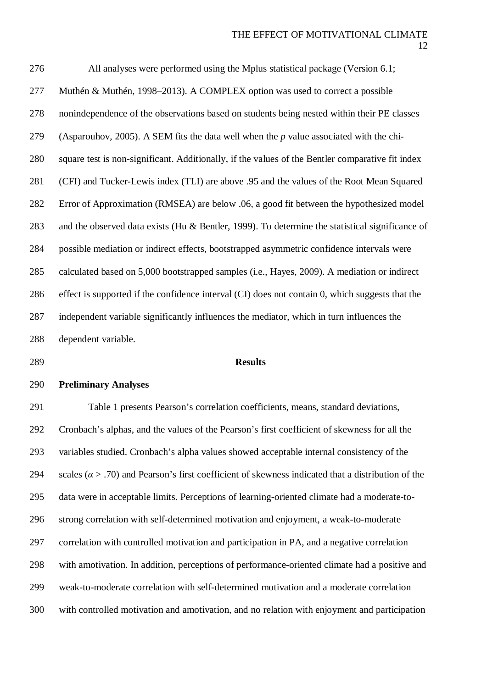All analyses were performed using the Mplus statistical package (Version 6.1; Muthén & Muthén, 1998–2013). A COMPLEX option was used to correct a possible nonindependence of the observations based on students being nested within their PE classes (Asparouhov, 2005). A SEM fits the data well when the *p* value associated with the chi- square test is non-significant. Additionally, if the values of the Bentler comparative fit index (CFI) and Tucker-Lewis index (TLI) are above .95 and the values of the Root Mean Squared Error of Approximation (RMSEA) are below .06, a good fit between the hypothesized model and the observed data exists (Hu & Bentler, 1999). To determine the statistical significance of possible mediation or indirect effects, bootstrapped asymmetric confidence intervals were calculated based on 5,000 bootstrapped samples (i.e., Hayes, 2009). A mediation or indirect effect is supported if the confidence interval (CI) does not contain 0, which suggests that the independent variable significantly influences the mediator, which in turn influences the dependent variable.

# **Results**

#### **Preliminary Analyses**

 Table 1 presents Pearson's correlation coefficients, means, standard deviations, Cronbach's alphas, and the values of the Pearson's first coefficient of skewness for all the variables studied. Cronbach's alpha values showed acceptable internal consistency of the 294 scales ( $\alpha$  > .70) and Pearson's first coefficient of skewness indicated that a distribution of the data were in acceptable limits. Perceptions of learning-oriented climate had a moderate-to- strong correlation with self-determined motivation and enjoyment, a weak-to-moderate correlation with controlled motivation and participation in PA, and a negative correlation with amotivation. In addition, perceptions of performance-oriented climate had a positive and weak-to-moderate correlation with self-determined motivation and a moderate correlation with controlled motivation and amotivation, and no relation with enjoyment and participation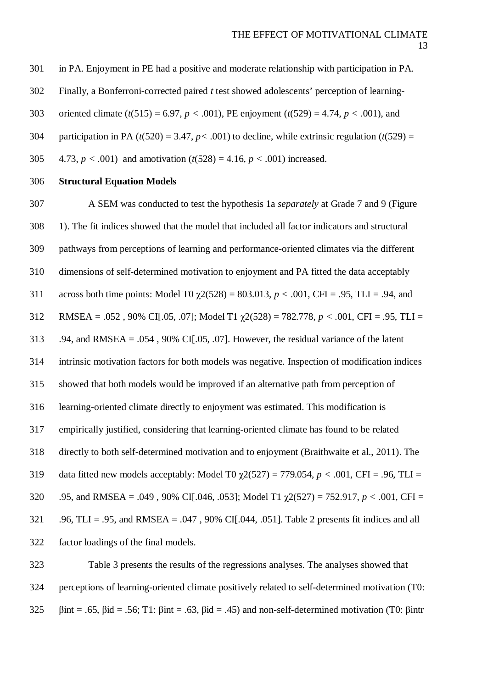in PA. Enjoyment in PE had a positive and moderate relationship with participation in PA.

Finally, a Bonferroni-corrected paired *t* test showed adolescents' perception of learning-

oriented climate (*t*(515) = 6.97, *p <* .001), PE enjoyment (*t*(529) = 4.74, *p <* .001), and

304 participation in PA  $(t(520) = 3.47, p < .001)$  to decline, while extrinsic regulation  $(t(529) =$ 

4.73, *p <* .001) and amotivation (*t*(528) = 4.16, *p <* .001) increased.

# **Structural Equation Models**

 A SEM was conducted to test the hypothesis 1a *separately* at Grade 7 and 9 (Figure 1). The fit indices showed that the model that included all factor indicators and structural pathways from perceptions of learning and performance-oriented climates via the different dimensions of self-determined motivation to enjoyment and PA fitted the data acceptably 311 across both time points: Model T0  $\gamma$ 2(528) = 803.013, *p* < .001, CFI = .95, TLI = .94, and RMSEA = .052 , 90% CI[.05, .07]; Model T1 χ2(528) = 782.778, *p <* .001, CFI = .95, TLI = .94, and RMSEA = .054 , 90% CI[.05, .07]. However, the residual variance of the latent intrinsic motivation factors for both models was negative. Inspection of modification indices showed that both models would be improved if an alternative path from perception of learning-oriented climate directly to enjoyment was estimated. This modification is empirically justified, considering that learning-oriented climate has found to be related directly to both self-determined motivation and to enjoyment (Braithwaite et al., 2011). The data fitted new models acceptably: Model T0 χ2(527) = 779.054, *p <* .001, CFI = .96, TLI = .95, and RMSEA = .049 , 90% CI[.046, .053]; Model T1 χ2(527) = 752.917, *p <* .001, CFI = .96, TLI = .95, and RMSEA = .047 , 90% CI[.044, .051]. Table 2 presents fit indices and all factor loadings of the final models.

 Table 3 presents the results of the regressions analyses. The analyses showed that perceptions of learning-oriented climate positively related to self-determined motivation (T0: 325 βint = .65, βid = .56; T1: βint = .63, βid = .45) and non-self-determined motivation (T0: βintr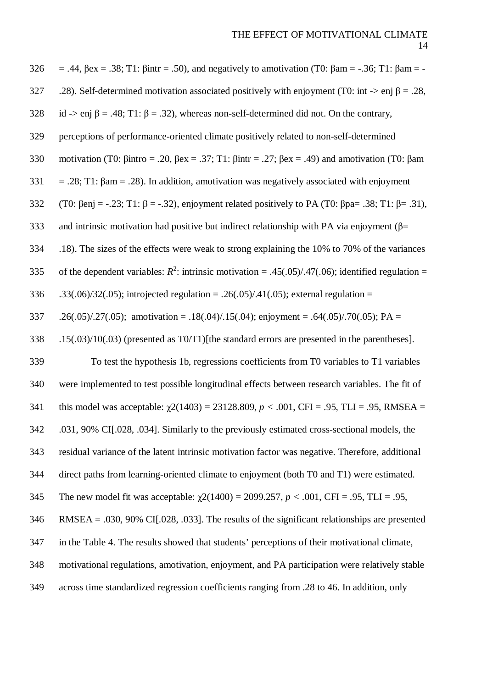$326 = .44$ ,  $\beta$ ex =  $.38$ ; T1:  $\beta$ intr =  $.50$ ), and negatively to amotivation (T0:  $\beta$ am =  $-.36$ ; T1:  $\beta$ am =  $-$ 327 .28). Self-determined motivation associated positively with enjoyment (T0: int -> enj  $\beta = .28$ , 328 id -> enj  $\beta = .48$ ; T1:  $\beta = .32$ ), whereas non-self-determined did not. On the contrary, 329 perceptions of performance-oriented climate positively related to non-self-determined 330 motivation (T0: βintro = .20, βex = .37; T1: βintr = .27; βex = .49) and amotivation (T0: βam 331 = .28; T1:  $\beta$ am = .28). In addition, amotivation was negatively associated with enjoyment 332 (T0:  $\beta$ enj = -.23; T1:  $\beta$  = -.32), enjoyment related positively to PA (T0:  $\beta$ pa = .38; T1:  $\beta$  = .31), 333 and intrinsic motivation had positive but indirect relationship with PA via enjoyment ( $\beta$ = 334 .18). The sizes of the effects were weak to strong explaining the 10% to 70% of the variances 335 of the dependent variables:  $R^2$ : intrinsic motivation = .45(.05)/.47(.06); identified regulation = 336 .33(.06)/32(.05); introjected regulation = .26(.05)/.41(.05); external regulation = 337 .26(.05)/.27(.05); amotivation = .18(.04)/.15(.04); enjoyment = .64(.05)/.70(.05); PA = 338 .15(.03)/10(.03) (presented as T0/T1)[the standard errors are presented in the parentheses]. 339 To test the hypothesis 1b, regressions coefficients from T0 variables to T1 variables 340 were implemented to test possible longitudinal effects between research variables. The fit of 341 this model was acceptable: χ2(1403) = 23128.809, *p <* .001, CFI = .95, TLI = .95, RMSEA = 342 .031, 90% CI[.028, .034]. Similarly to the previously estimated cross-sectional models, the 343 residual variance of the latent intrinsic motivation factor was negative. Therefore, additional 344 direct paths from learning-oriented climate to enjoyment (both T0 and T1) were estimated. 345 The new model fit was acceptable: χ2(1400) = 2099.257, *p <* .001, CFI = .95, TLI = .95, 346 RMSEA = .030, 90% CI[.028, .033]. The results of the significant relationships are presented 347 in the Table 4. The results showed that students' perceptions of their motivational climate, 348 motivational regulations, amotivation, enjoyment, and PA participation were relatively stable 349 across time standardized regression coefficients ranging from .28 to 46. In addition, only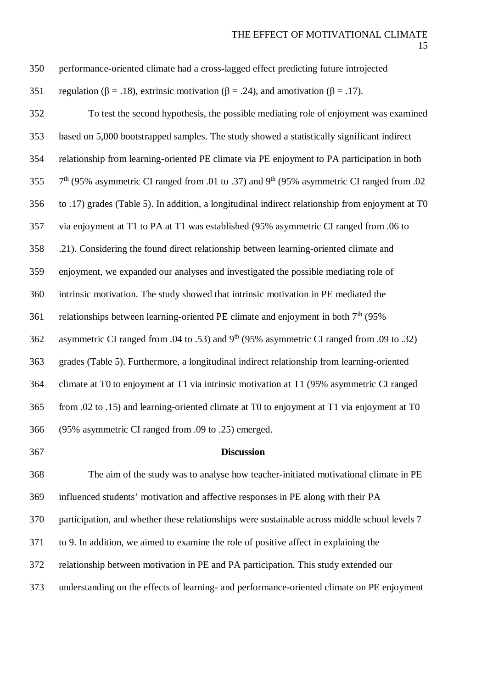| 350 | performance-oriented climate had a cross-lagged effect predicting future introjected                              |
|-----|-------------------------------------------------------------------------------------------------------------------|
| 351 | regulation ( $\beta$ = .18), extrinsic motivation ( $\beta$ = .24), and amotivation ( $\beta$ = .17).             |
| 352 | To test the second hypothesis, the possible mediating role of enjoyment was examined                              |
| 353 | based on 5,000 bootstrapped samples. The study showed a statistically significant indirect                        |
| 354 | relationship from learning-oriented PE climate via PE enjoyment to PA participation in both                       |
| 355 | 7 <sup>th</sup> (95% asymmetric CI ranged from .01 to .37) and 9 <sup>th</sup> (95% asymmetric CI ranged from .02 |
| 356 | to .17) grades (Table 5). In addition, a longitudinal indirect relationship from enjoyment at T0                  |
| 357 | via enjoyment at T1 to PA at T1 was established (95% asymmetric CI ranged from .06 to                             |
| 358 | .21). Considering the found direct relationship between learning-oriented climate and                             |
| 359 | enjoyment, we expanded our analyses and investigated the possible mediating role of                               |
| 360 | intrinsic motivation. The study showed that intrinsic motivation in PE mediated the                               |
| 361 | relationships between learning-oriented PE climate and enjoyment in both 7 <sup>th</sup> (95%)                    |
| 362 | asymmetric CI ranged from .04 to .53) and 9 <sup>th</sup> (95% asymmetric CI ranged from .09 to .32)              |
| 363 | grades (Table 5). Furthermore, a longitudinal indirect relationship from learning-oriented                        |
| 364 | climate at T0 to enjoyment at T1 via intrinsic motivation at T1 (95% asymmetric CI ranged                         |
| 365 | from .02 to .15) and learning-oriented climate at T0 to enjoyment at T1 via enjoyment at T0                       |
| 366 | (95% asymmetric CI ranged from .09 to .25) emerged.                                                               |
| 367 | <b>Discussion</b>                                                                                                 |
|     |                                                                                                                   |

 The aim of the study was to analyse how teacher-initiated motivational climate in PE influenced students' motivation and affective responses in PE along with their PA participation, and whether these relationships were sustainable across middle school levels 7 to 9. In addition, we aimed to examine the role of positive affect in explaining the relationship between motivation in PE and PA participation. This study extended our understanding on the effects of learning- and performance-oriented climate on PE enjoyment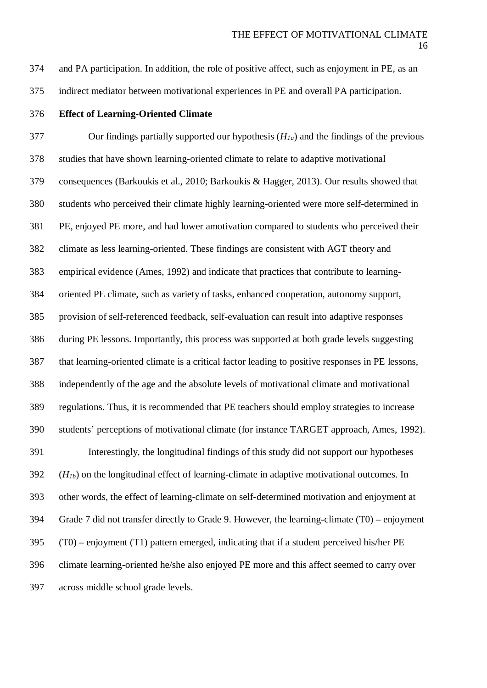and PA participation. In addition, the role of positive affect, such as enjoyment in PE, as an

indirect mediator between motivational experiences in PE and overall PA participation.

**Effect of Learning-Oriented Climate**

 Our findings partially supported our hypothesis (*H1a*) and the findings of the previous studies that have shown learning-oriented climate to relate to adaptive motivational consequences (Barkoukis et al., 2010; Barkoukis & Hagger, 2013). Our results showed that students who perceived their climate highly learning-oriented were more self-determined in PE, enjoyed PE more, and had lower amotivation compared to students who perceived their climate as less learning-oriented. These findings are consistent with AGT theory and empirical evidence (Ames, 1992) and indicate that practices that contribute to learning- oriented PE climate, such as variety of tasks, enhanced cooperation, autonomy support, provision of self-referenced feedback, self-evaluation can result into adaptive responses during PE lessons. Importantly, this process was supported at both grade levels suggesting that learning-oriented climate is a critical factor leading to positive responses in PE lessons, independently of the age and the absolute levels of motivational climate and motivational regulations. Thus, it is recommended that PE teachers should employ strategies to increase students' perceptions of motivational climate (for instance TARGET approach, Ames, 1992). Interestingly, the longitudinal findings of this study did not support our hypotheses (*H1b*) on the longitudinal effect of learning-climate in adaptive motivational outcomes. In other words, the effect of learning-climate on self-determined motivation and enjoyment at Grade 7 did not transfer directly to Grade 9. However, the learning-climate (T0) – enjoyment (T0) – enjoyment (T1) pattern emerged, indicating that if a student perceived his/her PE climate learning-oriented he/she also enjoyed PE more and this affect seemed to carry over across middle school grade levels.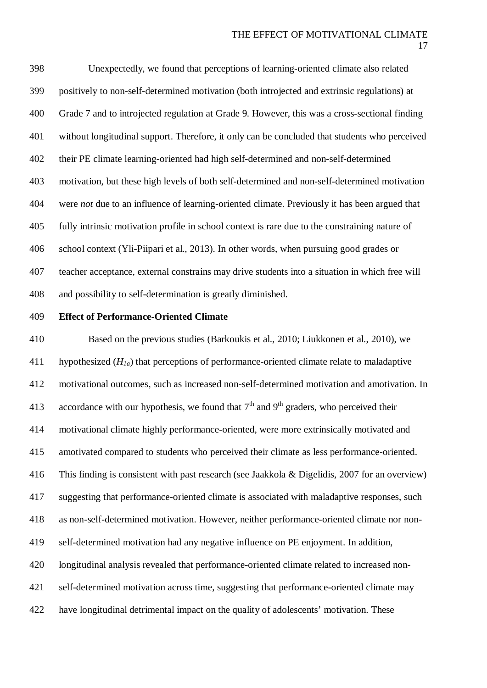Unexpectedly, we found that perceptions of learning-oriented climate also related positively to non-self-determined motivation (both introjected and extrinsic regulations) at Grade 7 and to introjected regulation at Grade 9. However, this was a cross-sectional finding without longitudinal support. Therefore, it only can be concluded that students who perceived their PE climate learning-oriented had high self-determined and non-self-determined motivation, but these high levels of both self-determined and non-self-determined motivation were *not* due to an influence of learning-oriented climate. Previously it has been argued that fully intrinsic motivation profile in school context is rare due to the constraining nature of school context (Yli-Piipari et al., 2013). In other words, when pursuing good grades or teacher acceptance, external constrains may drive students into a situation in which free will and possibility to self-determination is greatly diminished.

### **Effect of Performance-Oriented Climate**

 Based on the previous studies (Barkoukis et al., 2010; Liukkonen et al., 2010), we hypothesized (*H1a*) that perceptions of performance-oriented climate relate to maladaptive motivational outcomes, such as increased non-self-determined motivation and amotivation. In 413 accordance with our hypothesis, we found that  $7<sup>th</sup>$  and  $9<sup>th</sup>$  graders, who perceived their motivational climate highly performance-oriented, were more extrinsically motivated and amotivated compared to students who perceived their climate as less performance-oriented. This finding is consistent with past research (see Jaakkola & Digelidis, 2007 for an overview) suggesting that performance-oriented climate is associated with maladaptive responses, such as non-self-determined motivation. However, neither performance-oriented climate nor non- self-determined motivation had any negative influence on PE enjoyment. In addition, longitudinal analysis revealed that performance-oriented climate related to increased non- self-determined motivation across time, suggesting that performance-oriented climate may have longitudinal detrimental impact on the quality of adolescents' motivation. These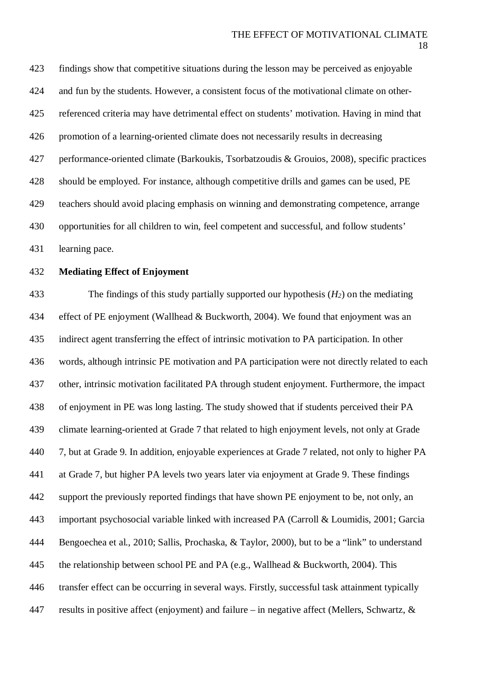findings show that competitive situations during the lesson may be perceived as enjoyable and fun by the students. However, a consistent focus of the motivational climate on other- referenced criteria may have detrimental effect on students' motivation. Having in mind that promotion of a learning-oriented climate does not necessarily results in decreasing performance-oriented climate (Barkoukis, Tsorbatzoudis & Grouios, 2008), specific practices should be employed. For instance, although competitive drills and games can be used, PE teachers should avoid placing emphasis on winning and demonstrating competence, arrange opportunities for all children to win, feel competent and successful, and follow students' learning pace.

# **Mediating Effect of Enjoyment**

 The findings of this study partially supported our hypothesis (*H2*) on the mediating effect of PE enjoyment (Wallhead & Buckworth, 2004). We found that enjoyment was an indirect agent transferring the effect of intrinsic motivation to PA participation. In other words, although intrinsic PE motivation and PA participation were not directly related to each other, intrinsic motivation facilitated PA through student enjoyment. Furthermore, the impact of enjoyment in PE was long lasting. The study showed that if students perceived their PA climate learning-oriented at Grade 7 that related to high enjoyment levels, not only at Grade 7, but at Grade 9. In addition, enjoyable experiences at Grade 7 related, not only to higher PA at Grade 7, but higher PA levels two years later via enjoyment at Grade 9. These findings support the previously reported findings that have shown PE enjoyment to be, not only, an important psychosocial variable linked with increased PA (Carroll & Loumidis, 2001; Garcia Bengoechea et al., 2010; Sallis, Prochaska, & Taylor, 2000), but to be a "link" to understand 445 the relationship between school PE and PA (e.g., Wallhead & Buckworth, 2004). This transfer effect can be occurring in several ways. Firstly, successful task attainment typically 447 results in positive affect (enjoyment) and failure – in negative affect (Mellers, Schwartz,  $\&$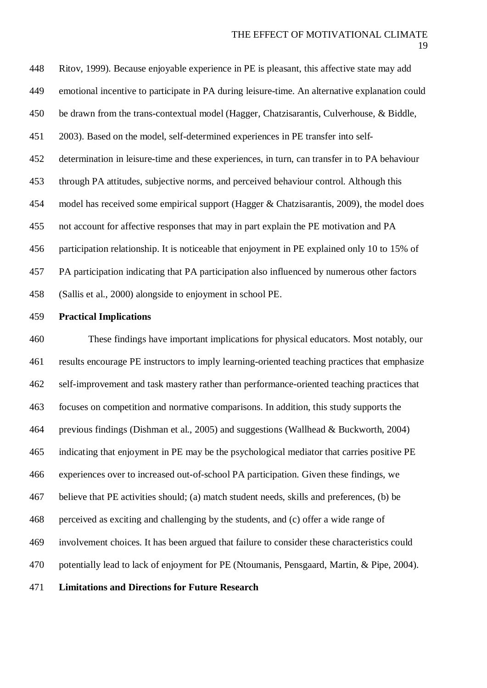Ritov, 1999). Because enjoyable experience in PE is pleasant, this affective state may add emotional incentive to participate in PA during leisure-time. An alternative explanation could be drawn from the trans-contextual model (Hagger, Chatzisarantis, Culverhouse, & Biddle, 2003). Based on the model, self-determined experiences in PE transfer into self- determination in leisure-time and these experiences, in turn, can transfer in to PA behaviour through PA attitudes, subjective norms, and perceived behaviour control. Although this model has received some empirical support (Hagger & Chatzisarantis, 2009), the model does not account for affective responses that may in part explain the PE motivation and PA participation relationship. It is noticeable that enjoyment in PE explained only 10 to 15% of PA participation indicating that PA participation also influenced by numerous other factors (Sallis et al., 2000) alongside to enjoyment in school PE.

### **Practical Implications**

 These findings have important implications for physical educators. Most notably, our results encourage PE instructors to imply learning-oriented teaching practices that emphasize self-improvement and task mastery rather than performance-oriented teaching practices that focuses on competition and normative comparisons. In addition, this study supports the previous findings (Dishman et al., 2005) and suggestions (Wallhead & Buckworth, 2004) indicating that enjoyment in PE may be the psychological mediator that carries positive PE experiences over to increased out-of-school PA participation. Given these findings, we believe that PE activities should; (a) match student needs, skills and preferences, (b) be perceived as exciting and challenging by the students, and (c) offer a wide range of involvement choices. It has been argued that failure to consider these characteristics could potentially lead to lack of enjoyment for PE (Ntoumanis, Pensgaard, Martin, & Pipe, 2004).

**Limitations and Directions for Future Research**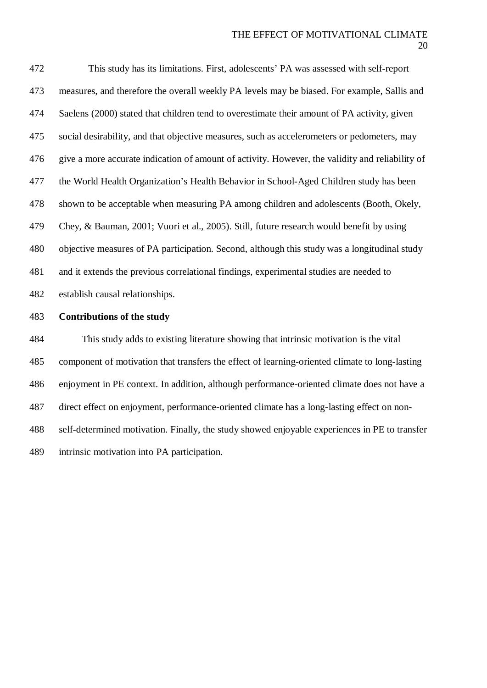This study has its limitations. First, adolescents' PA was assessed with self-report measures, and therefore the overall weekly PA levels may be biased. For example, Sallis and Saelens (2000) stated that children tend to overestimate their amount of PA activity, given social desirability, and that objective measures, such as accelerometers or pedometers, may give a more accurate indication of amount of activity. However, the validity and reliability of the World Health Organization's Health Behavior in School-Aged Children study has been shown to be acceptable when measuring PA among children and adolescents (Booth, Okely, Chey, & Bauman, 2001; Vuori et al., 2005). Still, future research would benefit by using objective measures of PA participation. Second, although this study was a longitudinal study and it extends the previous correlational findings, experimental studies are needed to establish causal relationships.

# **Contributions of the study**

 This study adds to existing literature showing that intrinsic motivation is the vital component of motivation that transfers the effect of learning-oriented climate to long-lasting enjoyment in PE context. In addition, although performance-oriented climate does not have a direct effect on enjoyment, performance-oriented climate has a long-lasting effect on non- self-determined motivation. Finally, the study showed enjoyable experiences in PE to transfer intrinsic motivation into PA participation.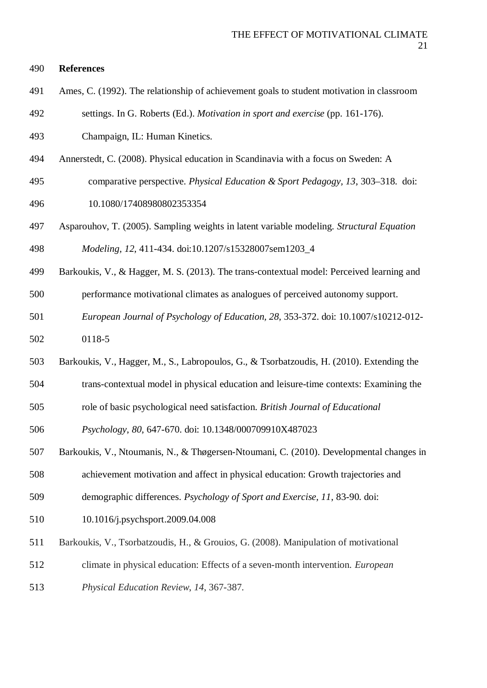# **References**

- Ames, C. (1992). The relationship of achievement goals to student motivation in classroom
- settings. In G. Roberts (Ed.). *Motivation in sport and exercise* (pp. 161-176).
- Champaign, IL: Human Kinetics.
- Annerstedt, C. (2008). Physical education in Scandinavia with a focus on Sweden: A
- comparative perspective. *Physical Education & Sport Pedagogy, 13*, 303–318. doi: 10.1080/17408980802353354
- Asparouhov, T. (2005). Sampling weights in latent variable modeling*. Structural Equation*

*Modeling, 12*, 411-434. doi:10.1207/s15328007sem1203\_4

- Barkoukis, V., & Hagger, M. S. (2013). The trans-contextual model: Perceived learning and
- performance motivational climates as analogues of perceived autonomy support.
- *European Journal of Psychology of Education, 28*, 353-372. doi: 10.1007/s10212-012-
- 0118-5
- Barkoukis, V., Hagger, M., S., Labropoulos, G., & Tsorbatzoudis, H. (2010). Extending the
- trans-contextual model in physical education and leisure-time contexts: Examining the
- role of basic psychological need satisfaction. *British Journal of Educational*

*Psychology*, *80*, 647-670. doi: 10.1348/000709910X487023

- Barkoukis, V., Ntoumanis, N., & Thøgersen-Ntoumani, C. (2010). Developmental changes in
- achievement motivation and affect in physical education: Growth trajectories and
- demographic differences. *Psychology of Sport and Exercise, 11*, 83-90. doi:
- 10.1016/j.psychsport.2009.04.008
- Barkoukis, V., Tsorbatzoudis, H., & Grouios, G. (2008). Manipulation of motivational
- climate in physical education: Effects of a seven-month intervention. *European*
- *Physical Education Review*, *14*, 367-387.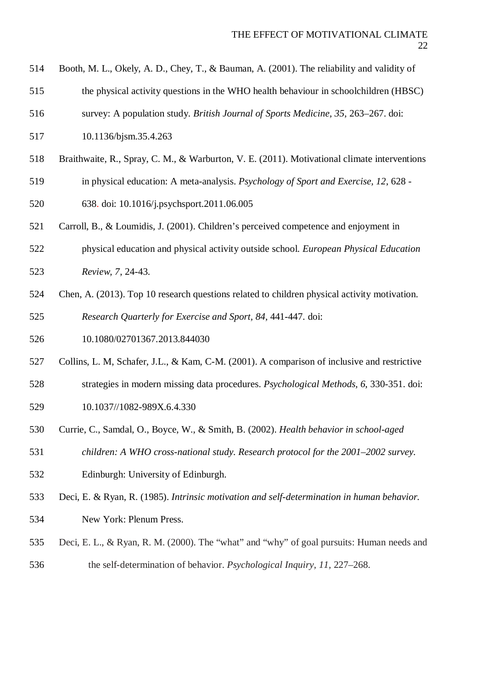- Booth, M. L., Okely, A. D., Chey, T., & Bauman, A. (2001). The reliability and validity of
- the physical activity questions in the WHO health behaviour in schoolchildren (HBSC)
- survey: A population study. *British Journal of Sports Medicine, 35*, 263–267. doi:
- 10.1136/bjsm.35.4.263
- Braithwaite, R., Spray, C. M., & Warburton, V. E. (2011). Motivational climate interventions
- in physical education: A meta-analysis. *Psychology of Sport and Exercise, 12*, 628 -
- 638. doi: 10.1016/j.psychsport.2011.06.005
- Carroll, B., & Loumidis, J. (2001). Children's perceived competence and enjoyment in
- physical education and physical activity outside school. *European Physical Education Review, 7*, 24-43.
- Chen, A. (2013). Top 10 research questions related to children physical activity motivation.
- *Research Quarterly for Exercise and Sport, 84,* 441-447*.* doi:
- 10.1080/02701367.2013.844030
- Collins, L. M, Schafer, J.L., & Kam, C-M. (2001). A comparison of inclusive and restrictive
- strategies in modern missing data procedures. *Psychological Methods, 6*, 330-351. doi: 10.1037//1082-989X.6.4.330
- Currie, C., Samdal, O., Boyce, W., & Smith, B. (2002). *Health behavior in school-aged*
- *children: A WHO cross-national study. Research protocol for the 2001–2002 survey.*
- Edinburgh: University of Edinburgh.
- Deci, E. & Ryan, R. (1985). *Intrinsic motivation and self-determination in human behavior.*
- New York: Plenum Press.
- Deci, E. L., & Ryan, R. M. (2000). The "what" and "why" of goal pursuits: Human needs and the self-determination of behavior. *Psychological Inquiry, 11,* 227–268.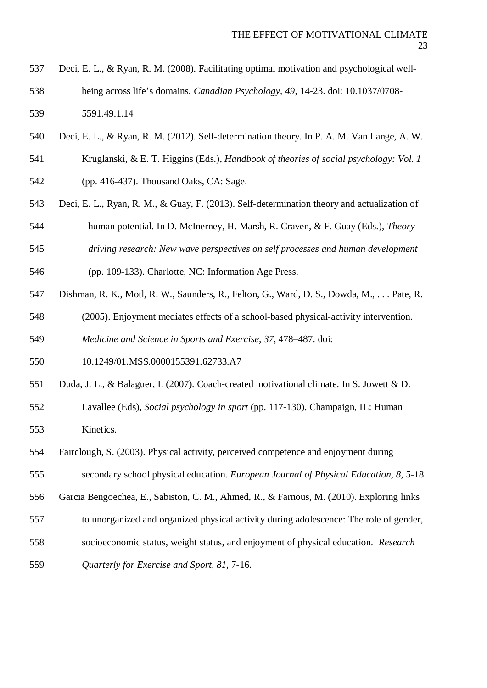- Deci, E. L., & Ryan, R. M. (2008). Facilitating optimal motivation and psychological well- being across life's domains. *Canadian Psychology, 49*, 14-23. doi: 10.1037/0708- 5591.49.1.14
- Deci, E. L., & Ryan, R. M. (2012). Self-determination theory. In P. A. M. Van Lange, A. W.
- Kruglanski, & E. T. Higgins (Eds.), *Handbook of theories of social psychology: Vol. 1*
- (pp. 416-437). Thousand Oaks, CA: Sage.
- Deci, E. L., Ryan, R. M., & Guay, F. (2013). Self-determination theory and actualization of human potential. In D. McInerney, H. Marsh, R. Craven, & F. Guay (Eds.), *Theory*
- *driving research: New wave perspectives on self processes and human development*
- (pp. 109-133). Charlotte, NC: Information Age Press.
- Dishman, R. K., Motl, R. W., Saunders, R., Felton, G., Ward, D. S., Dowda, M., . . . Pate, R.
- (2005). Enjoyment mediates effects of a school-based physical-activity intervention.

*Medicine and Science in Sports and Exercise, 37*, 478–487. doi:

- 10.1249/01.MSS.0000155391.62733.A7
- Duda, J. L., & Balaguer, I. (2007). Coach-created motivational climate. In S. Jowett & D.
- Lavallee (Eds), *Social psychology in sport* (pp. 117-130). Champaign, IL: Human Kinetics.
- Fairclough, S. (2003). Physical activity, perceived competence and enjoyment during
- secondary school physical education. *European Journal of Physical Education, 8*, 5-18.
- Garcia Bengoechea, E., Sabiston, C. M., Ahmed, R., & Farnous, M. (2010). Exploring links
- to unorganized and organized physical activity during adolescence: The role of gender,
- socioeconomic status, weight status, and enjoyment of physical education. *Research*
- *Quarterly for Exercise and Sport, 81*, 7-16.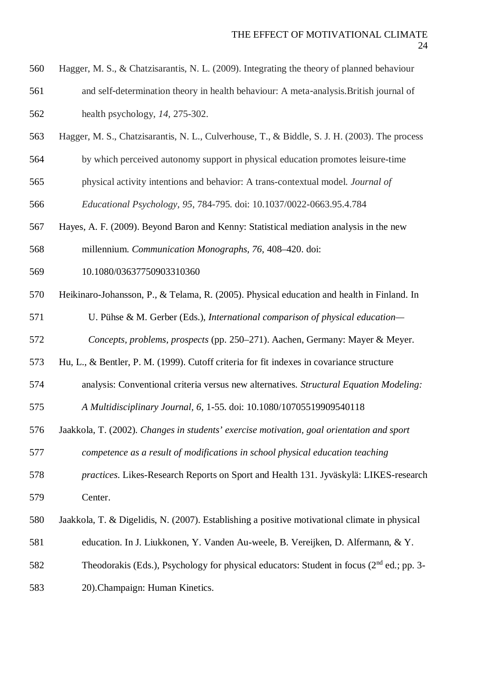- Hagger, M. S., & Chatzisarantis, N. L. (2009). Integrating the theory of planned behaviour
- and self-determination theory in health behaviour: A meta-analysis.British journal of health psychology, *14,* 275-302.
- Hagger, M. S., Chatzisarantis, N. L., Culverhouse, T., & Biddle, S. J. H. (2003). The process
- by which perceived autonomy support in physical education promotes leisure-time
- physical activity intentions and behavior: A trans-contextual model. *Journal of*
- *Educational Psychology, 95*, 784-795. doi: 10.1037/0022-0663.95.4.784
- Hayes, A. F. (2009). Beyond Baron and Kenny: Statistical mediation analysis in the new
- millennium. *Communication Monographs, 76,* 408–420. doi:
- 10.1080/03637750903310360
- Heikinaro-Johansson, P., & Telama, R. (2005). Physical education and health in Finland. In
- U. Pühse & M. Gerber (Eds.), *International comparison of physical education—*
- *Concepts, problems, prospects* (pp. 250–271). Aachen, Germany: Mayer & Meyer.
- Hu, L., & Bentler, P. M. (1999). Cutoff criteria for fit indexes in covariance structure
- analysis: Conventional criteria versus new alternatives. *Structural Equation Modeling:*
- *A Multidisciplinary Journal, 6*, 1-55. doi: 10.1080/10705519909540118
- Jaakkola, T. (2002). *Changes in students' exercise motivation, goal orientation and sport*
- *competence as a result of modifications in school physical education teaching*
- *practices*. Likes-Research Reports on Sport and Health 131. Jyväskylä: LIKES-research Center.
- Jaakkola, T. & Digelidis, N. (2007). Establishing a positive motivational climate in physical
- education. In J. Liukkonen, Y. Vanden Au-weele, B. Vereijken, D. Alfermann, & Y.
- Theodorakis (Eds.), Psychology for physical educators: Student in focus (2<sup>nd</sup> ed.; pp. 3-
- 20).Champaign: Human Kinetics.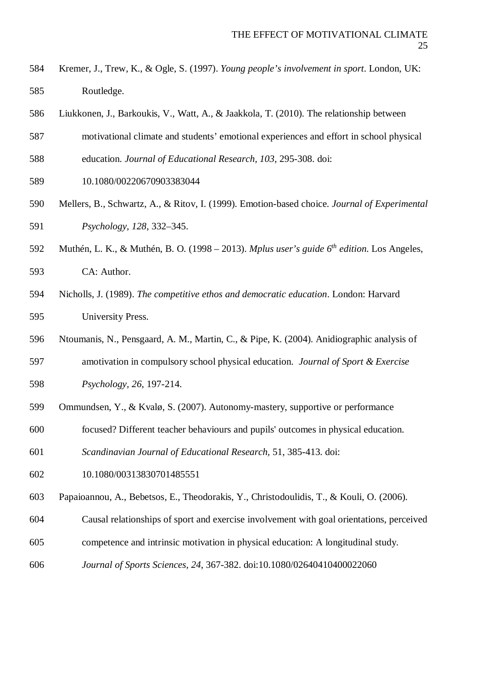- Kremer, J., Trew, K., & Ogle, S. (1997). *Young people's involvement in sport*. London, UK: Routledge.
- Liukkonen, J., Barkoukis, V., Watt, A., & Jaakkola, T. (2010). The relationship between
- motivational climate and students' emotional experiences and effort in school physical
- education. *Journal of Educational Research, 103*, 295-308. doi:
- 10.1080/00220670903383044
- Mellers, B., Schwartz, A., & Ritov, I. (1999). Emotion-based choice. *Journal of Experimental Psychology, 128*, 332–345.
- 592 Muthén, L. K., & Muthén, B. O. (1998 2013). *Mplus user's guide 6<sup>th</sup> edition*. Los Angeles, CA: Author.
- Nicholls, J. (1989). *The competitive ethos and democratic education*. London: Harvard University Press.
- Ntoumanis, N., Pensgaard, A. M., Martin, C., & Pipe, K. (2004). Anidiographic analysis of
- amotivation in compulsory school physical education. *Journal of Sport & Exercise Psychology, 26*, 197-214.
- Ommundsen, Y., & Kvalø, S. (2007). Autonomy-mastery, supportive or performance
- focused? Different teacher behaviours and pupils' outcomes in physical education.
- *Scandinavian Journal of Educational Research,* 51, 385-413. doi:
- 10.1080/00313830701485551
- Papaioannou, A., Bebetsos, E., Theodorakis, Y., Christodoulidis, T., & Kouli, O. (2006).
- Causal relationships of sport and exercise involvement with goal orientations, perceived
- competence and intrinsic motivation in physical education: A longitudinal study.
- *Journal of Sports Sciences, 24*, 367-382. doi:10.1080/02640410400022060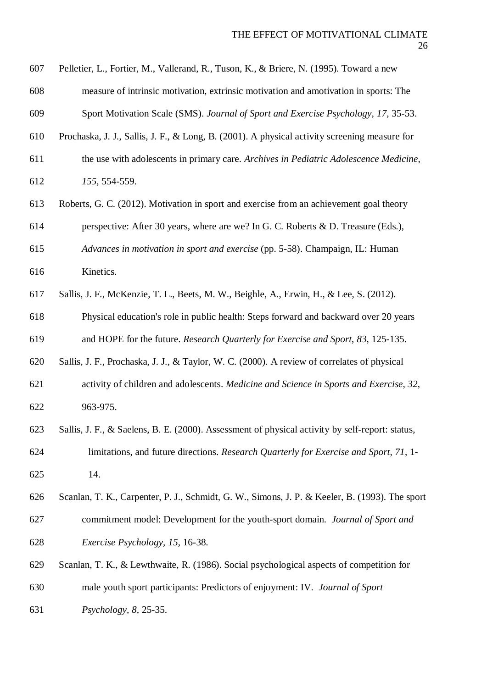- Pelletier, L., Fortier, M., Vallerand, R., Tuson, K., & Briere, N. (1995). Toward a new
- measure of intrinsic motivation, extrinsic motivation and amotivation in sports: The

Sport Motivation Scale (SMS). *Journal of Sport and Exercise Psychology, 17*, 35-53.

- Prochaska, J. J., Sallis, J. F., & Long, B. (2001). A physical activity screening measure for
- the use with adolescents in primary care. *Archives in Pediatric Adolescence Medicine, 155,* 554-559.
- Roberts, G. C. (2012). Motivation in sport and exercise from an achievement goal theory
- perspective: After 30 years, where are we? In G. C. Roberts & D. Treasure (Eds.),

 *Advances in motivation in sport and exercise* (pp. 5-58). Champaign, IL: Human Kinetics.

Sallis, J. F., McKenzie, T. L., Beets, M. W., Beighle, A., Erwin, H., & Lee, S. (2012).

 Physical education's role in public health: Steps forward and backward over 20 years and HOPE for the future. *Research Quarterly for Exercise and Sport*, *83*, 125-135.

Sallis, J. F., Prochaska, J. J., & Taylor, W. C. (2000). A review of correlates of physical

- activity of children and adolescents. *Medicine and Science in Sports and Exercise, 32*, 963-975.
- Sallis, J. F., & Saelens, B. E. (2000). Assessment of physical activity by self-report: status, limitations, and future directions. *Research Quarterly for Exercise and Sport, 71*, 1- 14.
- Scanlan, T. K., Carpenter, P. J., Schmidt, G. W., Simons, J. P. & Keeler, B. (1993). The sport
- commitment model: Development for the youth-sport domain. *Journal of Sport and Exercise Psychology, 15*, 16-38.
- Scanlan, T. K., & Lewthwaite, R. (1986). Social psychological aspects of competition for
- male youth sport participants: Predictors of enjoyment: IV. *Journal of Sport*
- *Psychology, 8,* 25-35.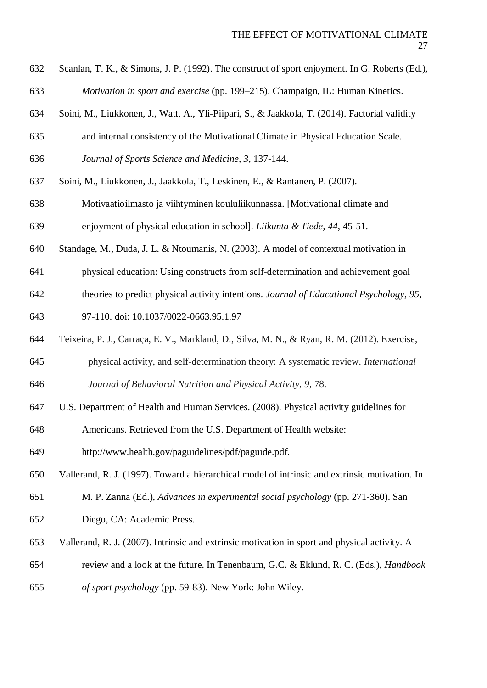- Scanlan, T. K., & Simons, J. P. (1992). The construct of sport enjoyment. In G. Roberts (Ed.), *Motivation in sport and exercise* (pp. 199–215). Champaign, IL: Human Kinetics.
- Soini, M., Liukkonen, J., Watt, A., Yli-Piipari, S., & Jaakkola, T. (2014). Factorial validity
- and internal consistency of the Motivational Climate in Physical Education Scale.
- *Journal of Sports Science and Medicine, 3*, 137-144.
- Soini, M., Liukkonen, J., Jaakkola, T., Leskinen, E., & Rantanen, P. (2007).
- Motivaatioilmasto ja viihtyminen koululiikunnassa. [Motivational climate and
- enjoyment of physical education in school]. *Liikunta & Tiede, 44*, 45-51.
- Standage, M., Duda, J. L. & Ntoumanis, N. (2003). A model of contextual motivation in
- physical education: Using constructs from self-determination and achievement goal
- theories to predict physical activity intentions. *Journal of Educational Psychology, 95,*
- 97-110. doi: 10.1037/0022-0663.95.1.97
- Teixeira, P. J., Carraça, E. V., Markland, D., Silva, M. N., & Ryan, R. M. (2012). Exercise,
- physical activity, and self-determination theory: A systematic review. *International Journal of Behavioral Nutrition and Physical Activity*, *9*, 78.
- U.S. Department of Health and Human Services. (2008). Physical activity guidelines for
- Americans. Retrieved from the U.S. Department of Health website:
- http://www.health.gov/paguidelines/pdf/paguide.pdf.
- Vallerand, R. J. (1997). Toward a hierarchical model of intrinsic and extrinsic motivation. In
- M. P. Zanna (Ed.), *Advances in experimental social psychology* (pp. 271-360). San
- Diego, CA: Academic Press.
- Vallerand, R. J. (2007). Intrinsic and extrinsic motivation in sport and physical activity. A
- review and a look at the future. In Tenenbaum, G.C. & Eklund, R. C. (Eds.), *Handbook*
- *of sport psychology* (pp. 59-83). New York: John Wiley.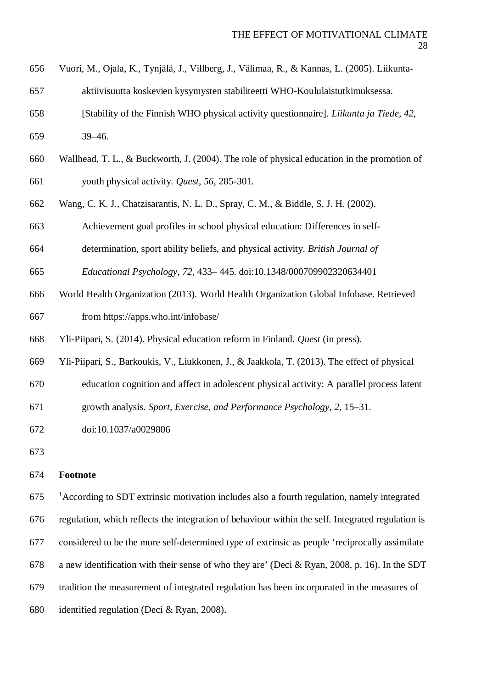- Vuori, M., Ojala, K., Tynjälä, J., Villberg, J., Välimaa, R., & Kannas, L. (2005). Liikunta-
- aktiivisuutta koskevien kysymysten stabiliteetti WHO-Koululaistutkimuksessa.
- [Stability of the Finnish WHO physical activity questionnaire]. *Liikunta ja Tiede, 42*, 39–46.
- Wallhead, T. L., & Buckworth, J. (2004). The role of physical education in the promotion of youth physical activity. *Quest, 56*, 285-301.
- Wang, C. K. J., Chatzisarantis, N. L. D., Spray, C. M., & Biddle, S. J. H. (2002).
- Achievement goal profiles in school physical education: Differences in self-
- determination, sport ability beliefs, and physical activity. *British Journal of*
- *Educational Psychology, 72*, 433– 445. doi:10.1348/000709902320634401
- World Health Organization (2013). World Health Organization Global Infobase. Retrieved
- from https://apps.who.int/infobase/
- Yli-Piipari, S. (2014). Physical education reform in Finland. *Quest* (in press).
- Yli-Piipari, S., Barkoukis, V., Liukkonen, J., & Jaakkola, T. (2013). The effect of physical
- education cognition and affect in adolescent physical activity: A parallel process latent
- growth analysis. *Sport, Exercise, and Performance Psychology, 2*, 15–31.
- doi:10.1037/a0029806
- 

# **Footnote**

675 <sup>1</sup> According to SDT extrinsic motivation includes also a fourth regulation, namely integrated regulation, which reflects the integration of behaviour within the self. Integrated regulation is

- considered to be the more self-determined type of extrinsic as people 'reciprocally assimilate
- a new identification with their sense of who they are' (Deci & Ryan, 2008, p. 16). In the SDT
- tradition the measurement of integrated regulation has been incorporated in the measures of
- identified regulation (Deci & Ryan, 2008).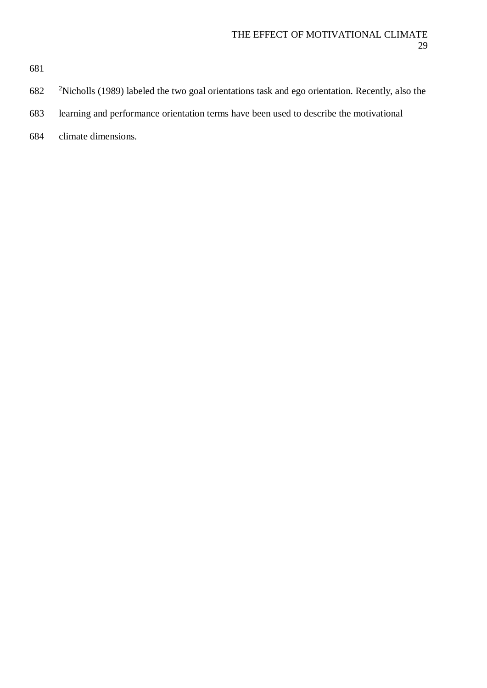- 682 <sup>2</sup>Nicholls (1989) labeled the two goal orientations task and ego orientation. Recently, also the
- learning and performance orientation terms have been used to describe the motivational
- climate dimensions.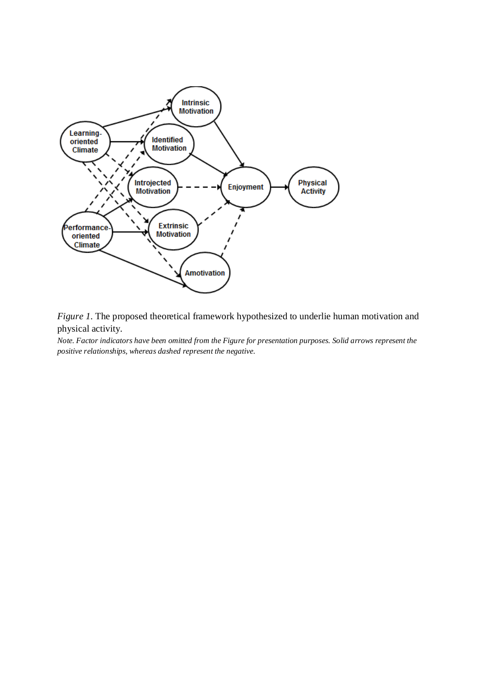

*Figure 1.* The proposed theoretical framework hypothesized to underlie human motivation and physical activity.

*Note. Factor indicators have been omitted from the Figure for presentation purposes. Solid arrows represent the positive relationships, whereas dashed represent the negative.*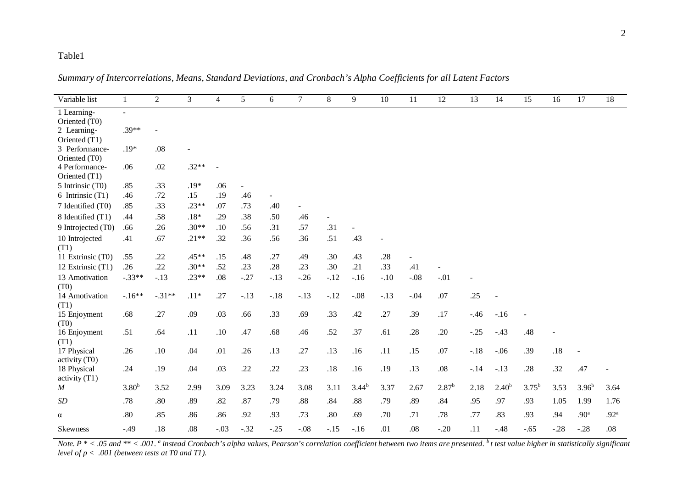*Summary of Intercorrelations, Means, Standard Deviations, and Cronbach's Alpha Coefficients for all Latent Factors*

| Variable list                     | $\mathbf{1}$      | $\overline{2}$ | 3                        | $\overline{4}$ | 5      | 6      | $\tau$  | 8              | 9          | 10     | 11             | 12                | 13     | 14                       | 15             | 16     | 17                | 18               |
|-----------------------------------|-------------------|----------------|--------------------------|----------------|--------|--------|---------|----------------|------------|--------|----------------|-------------------|--------|--------------------------|----------------|--------|-------------------|------------------|
| 1 Learning-                       | $\blacksquare$    |                |                          |                |        |        |         |                |            |        |                |                   |        |                          |                |        |                   |                  |
| Oriented (T0)                     |                   |                |                          |                |        |        |         |                |            |        |                |                   |        |                          |                |        |                   |                  |
| 2 Learning-                       | $.39**$           |                |                          |                |        |        |         |                |            |        |                |                   |        |                          |                |        |                   |                  |
| Oriented (T1)                     |                   |                |                          |                |        |        |         |                |            |        |                |                   |        |                          |                |        |                   |                  |
| 3 Performance-                    | $.19*$            | .08            | $\overline{\phantom{0}}$ |                |        |        |         |                |            |        |                |                   |        |                          |                |        |                   |                  |
| Oriented (T0)                     |                   |                |                          |                |        |        |         |                |            |        |                |                   |        |                          |                |        |                   |                  |
| 4 Performance-                    | .06               | .02            | $.32**$                  |                |        |        |         |                |            |        |                |                   |        |                          |                |        |                   |                  |
| Oriented (T1)<br>5 Intrinsic (T0) | .85               | .33            | $.19*$                   | .06            |        |        |         |                |            |        |                |                   |        |                          |                |        |                   |                  |
| 6 Intrinsic (T1)                  | .46               | .72            | .15                      | .19            | .46    |        |         |                |            |        |                |                   |        |                          |                |        |                   |                  |
|                                   |                   |                |                          |                |        |        |         |                |            |        |                |                   |        |                          |                |        |                   |                  |
| 7 Identified (T0)                 | .85               | .33            | $.23**$                  | .07            | .73    | .40    |         |                |            |        |                |                   |        |                          |                |        |                   |                  |
| 8 Identified (T1)                 | .44               | .58            | $.18\,^*$                | .29            | .38    | .50    | .46     | $\blacksquare$ |            |        |                |                   |        |                          |                |        |                   |                  |
| 9 Introjected (T0)                | .66               | .26            | $.30**$                  | .10            | .56    | .31    | .57     | .31            |            |        |                |                   |        |                          |                |        |                   |                  |
| 10 Introjected                    | .41               | .67            | $.21**$                  | .32            | .36    | .56    | .36     | .51            | .43        |        |                |                   |        |                          |                |        |                   |                  |
| (T1)                              |                   |                |                          |                |        |        |         |                |            |        |                |                   |        |                          |                |        |                   |                  |
| 11 Extrinsic (T0)                 | .55               | .22            | $.45**$                  | .15            | .48    | .27    | .49     | .30            | .43        | .28    | $\blacksquare$ |                   |        |                          |                |        |                   |                  |
| 12 Extrinsic (T1)                 | .26               | .22            | $.30**$                  | .52            | .23    | .28    | .23     | .30            | .21        | .33    | .41            |                   |        |                          |                |        |                   |                  |
| 13 Amotivation                    | $-.33**$          | $-.13$         | $.23**$                  | .08            | $-.27$ | $-.13$ | $-.26$  | $-.12$         | $-16$      | $-.10$ | $-.08$         | $-.01$            |        |                          |                |        |                   |                  |
| (T0)                              |                   |                |                          |                |        |        |         |                |            |        |                |                   |        |                          |                |        |                   |                  |
| 14 Amotivation                    | $-.16**$          | $-.31**$       | $.11*$                   | .27            | $-.13$ | $-.18$ | $-.13$  | $-.12$         | $-.08$     | $-.13$ | $-.04$         | .07               | .25    | $\overline{\phantom{a}}$ |                |        |                   |                  |
| (T1)                              |                   |                |                          |                |        |        |         |                |            |        |                |                   |        |                          |                |        |                   |                  |
| 15 Enjoyment                      | .68               | .27            | .09                      | .03            | .66    | .33    | .69     | .33            | .42        | .27    | .39            | .17               | $-.46$ | $-.16$                   | $\blacksquare$ |        |                   |                  |
| (T0)                              |                   |                |                          |                |        |        |         |                |            |        |                |                   |        |                          |                |        |                   |                  |
| 16 Enjoyment                      | .51               | .64            | .11                      | .10            | .47    | .68    | .46     | .52            | .37        | .61    | .28            | .20               | $-.25$ | $-.43$                   | .48            |        |                   |                  |
| (T1)<br>17 Physical               | .26               | .10            | .04                      | .01            | .26    | .13    | .27     | .13            | .16        | .11    | .15            | .07               | $-.18$ | $-.06$                   | .39            | .18    |                   |                  |
| activity (T0)                     |                   |                |                          |                |        |        |         |                |            |        |                |                   |        |                          |                |        |                   |                  |
| 18 Physical                       | .24               | .19            | .04                      | .03            | .22    | .22    | .23     | $.18\,$        | .16        | .19    | .13            | $.08\,$           | $-.14$ | $-.13$                   | .28            | .32    | .47               |                  |
| activity (T1)                     |                   |                |                          |                |        |        |         |                |            |        |                |                   |        |                          |                |        |                   |                  |
| $\cal M$                          | 3.80 <sup>b</sup> | 3.52           | 2.99                     | 3.09           | 3.23   | 3.24   | 3.08    | 3.11           | $3.44^{b}$ | 3.37   | 2.67           | 2.87 <sup>b</sup> | 2.18   | 2.40 <sup>b</sup>        | $3.75^{b}$     | 3.53   | 3.96 <sup>b</sup> | 3.64             |
|                                   |                   |                |                          |                |        |        |         |                |            |        |                |                   |        |                          |                |        |                   |                  |
| SD                                | .78               | .80            | .89                      | .82            | .87    | .79    | $.88\,$ | .84            | $.88\,$    | .79    | .89            | .84               | .95    | .97                      | .93            | 1.05   | 1.99              | 1.76             |
| $\alpha$                          | .80               | .85            | .86                      | .86            | .92    | .93    | .73     | .80            | .69        | .70    | .71            | .78               | .77    | .83                      | .93            | .94    | .90 <sup>a</sup>  | .92 <sup>a</sup> |
| <b>Skewness</b>                   | $-.49$            | .18            | .08                      | $-.03$         | $-.32$ | $-.25$ | $-.08$  | $-.15$         | $-.16$     | .01    | .08            | $-.20$            | .11    | $-.48$                   | $-.65$         | $-.28$ | $-.28$            | .08              |

*Note. P \* < .05 and \*\* < .001. <sup>a</sup> instead Cronbach's alpha values, Pearson's correlation coefficient between two items are presented. <sup>b</sup> t test value higher in statistically significant level of p < .001 (between tests at T0 and T1).*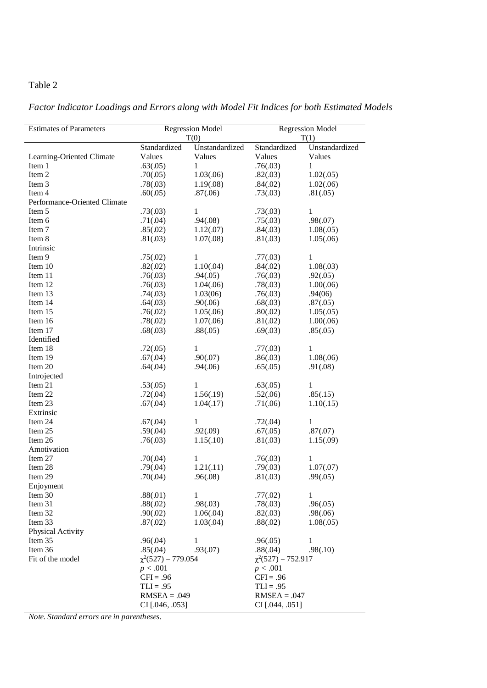*Factor Indicator Loadings and Errors along with Model Fit Indices for both Estimated Models*

| <b>Estimates of Parameters</b> |                         | <b>Regression Model</b> | <b>Regression Model</b> |                |  |  |
|--------------------------------|-------------------------|-------------------------|-------------------------|----------------|--|--|
|                                |                         | T(0)                    |                         | T(1)           |  |  |
|                                | Standardized            | Unstandardized          | Standardized            | Unstandardized |  |  |
| Learning-Oriented Climate      | Values                  | Values                  | Values                  | Values         |  |  |
| Item 1                         | .63(.05)                | 1                       | .76(.03)                | 1              |  |  |
| Item 2                         | .70(.05)                | 1.03(.06)               | .82(.03)                | 1.02(.05)      |  |  |
| Item 3                         | .78(.03)                | 1.19(0.08)              | .84(.02)                | 1.02(.06)      |  |  |
| Item 4                         | .60(.05)                | .87(.06)                | .73(.03)                | .81(.05)       |  |  |
| Performance-Oriented Climate   |                         |                         |                         |                |  |  |
| Item 5                         | .73(.03)                | 1                       | .73(.03)                | 1              |  |  |
| Item 6                         | .71(.04)                | .94(.08)                | .75(.03)                | .98(.07)       |  |  |
| Item 7                         | .85(.02)                | 1.12(0.07)              | .84(.03)                | 1.08(.05)      |  |  |
| Item 8                         | .81(.03)                | 1.07(.08)               | .81(.03)                | 1.05(.06)      |  |  |
| Intrinsic                      |                         |                         |                         |                |  |  |
| Item 9                         | .75(.02)                | 1                       | .77(.03)                | 1              |  |  |
| Item 10                        | .82(.02)                | 1.10(.04)               | .84(.02)                | 1.08(.03)      |  |  |
| Item 11                        | .76(.03)                | .94(.05)                | .76(.03)                | .92(.05)       |  |  |
| Item 12                        | .76(.03)                | 1.04(.06)               | .78(.03)                | 1.00(.06)      |  |  |
| Item 13                        | .74(.03)                | 1.03(06)                | .76(.03)                | .94(06)        |  |  |
| Item 14                        | .64(.03)                | .90(.06)                | .68(.03)                | .87(.05)       |  |  |
| Item 15                        | .76(.02)                | 1.05(.06)               | .80(.02)                | 1.05(.05)      |  |  |
| Item 16                        | .78(.02)                | 1.07(.06)               | .81(.02)                | 1.00(.06)      |  |  |
| Item 17                        | .68(.03)                | .88(.05)                | .69(.03)                | .85(.05)       |  |  |
| Identified                     |                         |                         |                         |                |  |  |
| Item 18                        | .72(.05)                | 1                       | .77(.03)                | 1              |  |  |
| Item 19                        | .67(.04)                | .90(.07)                | .86(.03)                | 1.08(.06)      |  |  |
| Item 20                        | .64(.04)                | .94(.06)                | .65(.05)                | .91(.08)       |  |  |
| Introjected                    |                         |                         |                         |                |  |  |
| Item 21                        | .53(.05)                | $\mathbf{1}$            | .63(.05)                | $\mathbf{1}$   |  |  |
| Item 22                        | .72(.04)                | 1.56(.19)               | .52(.06)                | .85(.15)       |  |  |
| Item 23                        | .67(.04)                | 1.04(0.17)              | .71(.06)                | 1.10(.15)      |  |  |
| Extrinsic                      |                         |                         |                         |                |  |  |
| Item 24                        | .67(.04)                | 1                       | .72(.04)                | 1              |  |  |
| Item 25                        | .59(.04)                | .92(.09)                | .67(.05)                | .87(.07)       |  |  |
| Item 26                        | .76(.03)                | 1.15(.10)               | .81(.03)                | 1.15(.09)      |  |  |
| Amotivation                    |                         |                         |                         |                |  |  |
| Item 27                        | .70(.04)                | 1                       | .76(.03)                | $\mathbf{1}$   |  |  |
| Item 28                        | .79(.04)                | 1.21(.11)               | .79(.03)                | 1.07(.07)      |  |  |
| Item 29                        | .70(.04)                | .96(.08)                | .81(.03)                | .99(.05)       |  |  |
| Enjoyment                      |                         |                         |                         |                |  |  |
| Item 30                        | .88(.01)                | 1                       | .77(.02)                | $\mathbf{1}$   |  |  |
| Item 31                        | .88(.02)                | .98(.03)                | .78(.03)                | .96(.05)       |  |  |
| Item 32                        | .90(.02)                | 1.06(.04)               | .82(.03)                | .98(.06)       |  |  |
| Item 33                        | .87(.02)                | 1.03(.04)               | .88(.02)                | 1.08(.05)      |  |  |
| Physical Activity              |                         |                         |                         |                |  |  |
| Item 35                        | .96(.04)                | 1                       | .96(.05)                | 1              |  |  |
| Item 36                        | .85(.04)                | .93(.07)                | .88(.04)                | .98(.10)       |  |  |
| Fit of the model               | $\chi^2(527) = 779.054$ |                         | $\chi^2(527) = 752.917$ |                |  |  |
|                                | p < .001                |                         | p < .001                |                |  |  |
|                                | $CFI = .96$             |                         | $CFI = .96$             |                |  |  |
|                                | $TLI = .95$             |                         | $TLI = .95$             |                |  |  |
|                                | $RMSEA = .049$          |                         | $RMSEA = .047$          |                |  |  |
|                                | CI [.046, .053]         |                         | CI [.044, .051]         |                |  |  |
|                                |                         |                         |                         |                |  |  |

*Note. Standard errors are in parentheses.*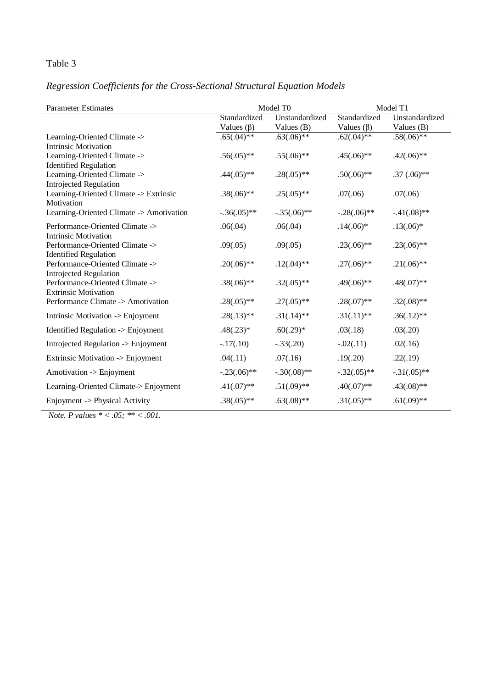# *Regression Coefficients for the Cross-Sectional Structural Equation Models*

| <b>Parameter Estimates</b>                                      |                                  | Model T0                       | Model T1                         |                                |  |  |
|-----------------------------------------------------------------|----------------------------------|--------------------------------|----------------------------------|--------------------------------|--|--|
|                                                                 | Standardized<br>Values $(\beta)$ | Unstandardized<br>Values $(B)$ | Standardized<br>Values $(\beta)$ | Unstandardized<br>Values $(B)$ |  |  |
| Learning-Oriented Climate -><br><b>Intrinsic Motivation</b>     | $.65(.04)**$                     | $.63(.06)**$                   | $.62(.04)$ **                    | $.58(.06)$ **                  |  |  |
| Learning-Oriented Climate -><br><b>Identified Regulation</b>    | $.56(.05)**$                     | $.55(.06)$ **                  | $.45(.06)$ **                    | $.42(.06)$ **                  |  |  |
| Learning-Oriented Climate -><br>Introjected Regulation          | $.44(.05)**$                     | $.28(.05)$ **                  | $.50(.06)$ **                    | $.37(.06)$ **                  |  |  |
| Learning-Oriented Climate -> Extrinsic<br>Motivation            | $.38(.06)**$                     | $.25(.05)**$                   | .07(.06)                         | .07(.06)                       |  |  |
| Learning-Oriented Climate -> Amotivation                        | $-.36(.05)**$                    | $-.35(.06)$ **                 | $-.28(.06)$ **                   | $-.41(.08)$ **                 |  |  |
| Performance-Oriented Climate -><br><b>Intrinsic Motivation</b>  | .06(.04)                         | .06(.04)                       | $.14(.06)*$                      | $.13(.06)*$                    |  |  |
| Performance-Oriented Climate -><br><b>Identified Regulation</b> | .09(.05)                         | .09(.05)                       | $.23(.06)$ **                    | $.23(.06)$ **                  |  |  |
| Performance-Oriented Climate -><br>Introjected Regulation       | $.20(.06)$ **                    | $.12(.04)$ **                  | $.27(.06)$ **                    | $.21(.06)$ **                  |  |  |
| Performance-Oriented Climate -><br><b>Extrinsic Motivation</b>  | $.38(.06)$ **                    | $.32(.05)**$                   | $.49(.06)$ **                    | $.48(.07)**$                   |  |  |
| Performance Climate -> Amotivation                              | $.28(.05)**$                     | $.27(.05)**$                   | $.28(.07)$ **                    | $.32(.08)**$                   |  |  |
| Intrinsic Motivation -> Enjoyment                               | $.28(.13)**$                     | $.31(.14)$ **                  | $.31(.11)**$                     | $.36(.12)$ **                  |  |  |
| Identified Regulation -> Enjoyment                              | $.48(.23)*$                      | $.60(.29)*$                    | .03(.18)                         | .03(.20)                       |  |  |
| Introjected Regulation -> Enjoyment                             | $-.17(.10)$                      | $-.33(.20)$                    | $-.02(.11)$                      | .02(.16)                       |  |  |
| Extrinsic Motivation -> Enjoyment                               | .04(.11)                         | .07(.16)                       | .19(.20)                         | .22(.19)                       |  |  |
| Amotivation -> Enjoyment                                        | $-.23(.06)$ **                   | $-.30(.08)$ **                 | $-.32(.05)$ **                   | $-.31(.05)$ **                 |  |  |
| Learning-Oriented Climate-> Enjoyment                           | $.41(.07)**$                     | $.51(.09)**$                   | $.40(.07)$ **                    | $.43(.08)$ **                  |  |  |
| Enjoyment -> Physical Activity                                  | $.38(.05)**$                     | $.63(.08)**$                   | $.31(.05)$ **                    | $.61(.09)$ **                  |  |  |

 *Note. P values \* < .05; \*\* < .001.*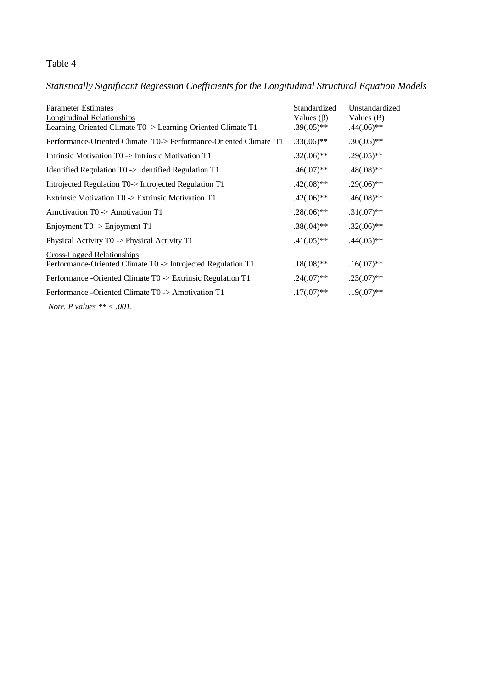*Statistically Significant Regression Coefficients for the Longitudinal Structural Equation Models*

| <b>Parameter Estimates</b>                                        | Standardized     | Unstandardized |
|-------------------------------------------------------------------|------------------|----------------|
| Longitudinal Relationships                                        | Values $(\beta)$ | Values $(B)$   |
| Learning-Oriented Climate T0 -> Learning-Oriented Climate T1      | $.39(.05)**$     | $.44(.06)$ **  |
| Performance-Oriented Climate T0-> Performance-Oriented Climate T1 | $.33(.06)$ **    | $.30(.05)**$   |
| Intrinsic Motivation TO -> Intrinsic Motivation T1                | $.32(.06)**$     | $.29(.05)**$   |
| Identified Regulation T0 -> Identified Regulation T1              | $.46(.07)**$     | $.48(.08)**$   |
| Introjected Regulation T0-> Introjected Regulation T1             | $.42(.08)**$     | $.29(.06)$ **  |
| Extrinsic Motivation $T0 \rightarrow$ Extrinsic Motivation T1     | $.42(.06)**$     | $.46(.08)**$   |
| Amotivation $T0 \rightarrow$ Amotivation T1                       | $.28(.06)$ **    | $.31(.07)**$   |
| Enjoyment $T0 \rightarrow$ Enjoyment T1                           | $.38(.04)$ **    | $.32(.06)**$   |
| Physical Activity $T0 \rightarrow$ Physical Activity T1           | $.41(.05)**$     | $.44(.05)**$   |
| Cross-Lagged Relationships                                        |                  |                |
| Performance-Oriented Climate T0 -> Introjected Regulation T1      | $.18(.08)$ **    | $.16(.07)**$   |
| Performance -Oriented Climate T0 -> Extrinsic Regulation T1       | $.24(.07)**$     | $.23(.07)**$   |
| Performance - Oriented Climate T0 -> Amotivation T1               | $.17(.07)**$     | $.19(.07)**$   |
| <i>Note</i> , <i>P</i> values $** < .001$ .                       |                  |                |